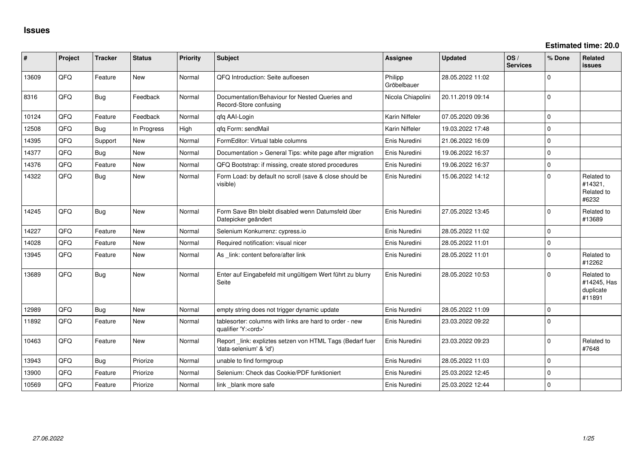| #     | Project | <b>Tracker</b> | <b>Status</b> | <b>Priority</b> | <b>Subject</b>                                                                        | <b>Assignee</b>        | <b>Updated</b>   | OS/<br><b>Services</b> | % Done       | <b>Related</b><br><b>issues</b>                  |
|-------|---------|----------------|---------------|-----------------|---------------------------------------------------------------------------------------|------------------------|------------------|------------------------|--------------|--------------------------------------------------|
| 13609 | QFQ     | Feature        | <b>New</b>    | Normal          | QFQ Introduction: Seite aufloesen                                                     | Philipp<br>Gröbelbauer | 28.05.2022 11:02 |                        | $\Omega$     |                                                  |
| 8316  | QFQ     | Bug            | Feedback      | Normal          | Documentation/Behaviour for Nested Queries and<br>Record-Store confusing              | Nicola Chiapolini      | 20.11.2019 09:14 |                        | $\Omega$     |                                                  |
| 10124 | QFQ     | Feature        | Feedback      | Normal          | qfq AAI-Login                                                                         | Karin Niffeler         | 07.05.2020 09:36 |                        | $\mathbf 0$  |                                                  |
| 12508 | QFQ     | Bug            | In Progress   | High            | qfq Form: sendMail                                                                    | Karin Niffeler         | 19.03.2022 17:48 |                        | $\Omega$     |                                                  |
| 14395 | QFQ     | Support        | New           | Normal          | FormEditor: Virtual table columns                                                     | Enis Nuredini          | 21.06.2022 16:09 |                        | $\mathbf{0}$ |                                                  |
| 14377 | QFQ     | Bug            | New           | Normal          | Documentation > General Tips: white page after migration                              | Enis Nuredini          | 19.06.2022 16:37 |                        | $\pmb{0}$    |                                                  |
| 14376 | QFQ     | Feature        | New           | Normal          | QFQ Bootstrap: if missing, create stored procedures                                   | Enis Nuredini          | 19.06.2022 16:37 |                        | $\mathbf 0$  |                                                  |
| 14322 | QFQ     | <b>Bug</b>     | New           | Normal          | Form Load: by default no scroll (save & close should be<br>visible)                   | Enis Nuredini          | 15.06.2022 14:12 |                        | $\Omega$     | Related to<br>#14321,<br>Related to<br>#6232     |
| 14245 | QFQ     | Bug            | <b>New</b>    | Normal          | Form Save Btn bleibt disabled wenn Datumsfeld über<br>Datepicker geändert             | Enis Nuredini          | 27.05.2022 13:45 |                        | $\Omega$     | Related to<br>#13689                             |
| 14227 | QFQ     | Feature        | New           | Normal          | Selenium Konkurrenz: cypress.io                                                       | Enis Nuredini          | 28.05.2022 11:02 |                        | $\mathbf 0$  |                                                  |
| 14028 | QFQ     | Feature        | New           | Normal          | Required notification: visual nicer                                                   | Enis Nuredini          | 28.05.2022 11:01 |                        | $\Omega$     |                                                  |
| 13945 | QFQ     | Feature        | New           | Normal          | As _link: content before/after link                                                   | Enis Nuredini          | 28.05.2022 11:01 |                        | $\Omega$     | Related to<br>#12262                             |
| 13689 | QFQ     | <b>Bug</b>     | New           | Normal          | Enter auf Eingabefeld mit ungültigem Wert führt zu blurry<br>Seite                    | Enis Nuredini          | 28.05.2022 10:53 |                        | $\Omega$     | Related to<br>#14245, Has<br>duplicate<br>#11891 |
| 12989 | QFQ     | Bug            | New           | Normal          | empty string does not trigger dynamic update                                          | Enis Nuredini          | 28.05.2022 11:09 |                        | $\mathbf 0$  |                                                  |
| 11892 | QFQ     | Feature        | <b>New</b>    | Normal          | tablesorter: columns with links are hard to order - new<br>qualifier 'Y: <ord>'</ord> | Enis Nuredini          | 23.03.2022 09:22 |                        | $\mathbf 0$  |                                                  |
| 10463 | QFQ     | Feature        | New           | Normal          | Report_link: expliztes setzen von HTML Tags (Bedarf fuer<br>'data-selenium' & 'id')   | Enis Nuredini          | 23.03.2022 09:23 |                        | $\mathbf 0$  | Related to<br>#7648                              |
| 13943 | QFQ     | <b>Bug</b>     | Priorize      | Normal          | unable to find formgroup                                                              | Enis Nuredini          | 28.05.2022 11:03 |                        | $\Omega$     |                                                  |
| 13900 | QFQ     | Feature        | Priorize      | Normal          | Selenium: Check das Cookie/PDF funktioniert                                           | Enis Nuredini          | 25.03.2022 12:45 |                        | $\Omega$     |                                                  |
| 10569 | QFQ     | Feature        | Priorize      | Normal          | link blank more safe                                                                  | Enis Nuredini          | 25.03.2022 12:44 |                        | $\mathbf 0$  |                                                  |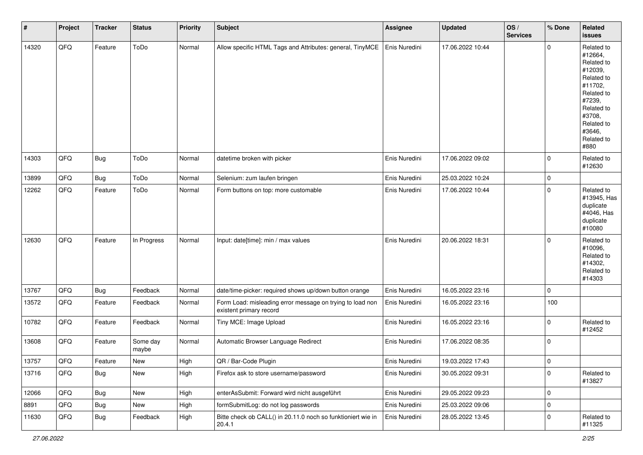| $\vert$ # | Project | <b>Tracker</b> | <b>Status</b>     | <b>Priority</b> | <b>Subject</b>                                                                       | Assignee      | <b>Updated</b>   | OS/<br><b>Services</b> | % Done      | Related<br><b>issues</b>                                                                                                                                              |
|-----------|---------|----------------|-------------------|-----------------|--------------------------------------------------------------------------------------|---------------|------------------|------------------------|-------------|-----------------------------------------------------------------------------------------------------------------------------------------------------------------------|
| 14320     | QFQ     | Feature        | ToDo              | Normal          | Allow specific HTML Tags and Attributes: general, TinyMCE                            | Enis Nuredini | 17.06.2022 10:44 |                        | $\mathbf 0$ | Related to<br>#12664,<br>Related to<br>#12039,<br>Related to<br>#11702,<br>Related to<br>#7239,<br>Related to<br>#3708,<br>Related to<br>#3646,<br>Related to<br>#880 |
| 14303     | QFQ     | Bug            | ToDo              | Normal          | datetime broken with picker                                                          | Enis Nuredini | 17.06.2022 09:02 |                        | $\mathbf 0$ | Related to<br>#12630                                                                                                                                                  |
| 13899     | QFQ     | <b>Bug</b>     | ToDo              | Normal          | Selenium: zum laufen bringen                                                         | Enis Nuredini | 25.03.2022 10:24 |                        | $\mathbf 0$ |                                                                                                                                                                       |
| 12262     | QFQ     | Feature        | ToDo              | Normal          | Form buttons on top: more customable                                                 | Enis Nuredini | 17.06.2022 10:44 |                        | $\mathbf 0$ | Related to<br>#13945, Has<br>duplicate<br>#4046, Has<br>duplicate<br>#10080                                                                                           |
| 12630     | QFQ     | Feature        | In Progress       | Normal          | Input: date[time]: min / max values                                                  | Enis Nuredini | 20.06.2022 18:31 |                        | $\mathbf 0$ | Related to<br>#10096,<br>Related to<br>#14302,<br>Related to<br>#14303                                                                                                |
| 13767     | QFQ     | <b>Bug</b>     | Feedback          | Normal          | date/time-picker: required shows up/down button orange                               | Enis Nuredini | 16.05.2022 23:16 |                        | $\mathbf 0$ |                                                                                                                                                                       |
| 13572     | QFQ     | Feature        | Feedback          | Normal          | Form Load: misleading error message on trying to load non<br>existent primary record | Enis Nuredini | 16.05.2022 23:16 |                        | 100         |                                                                                                                                                                       |
| 10782     | QFQ     | Feature        | Feedback          | Normal          | Tiny MCE: Image Upload                                                               | Enis Nuredini | 16.05.2022 23:16 |                        | $\mathbf 0$ | Related to<br>#12452                                                                                                                                                  |
| 13608     | QFQ     | Feature        | Some day<br>maybe | Normal          | Automatic Browser Language Redirect                                                  | Enis Nuredini | 17.06.2022 08:35 |                        | $\pmb{0}$   |                                                                                                                                                                       |
| 13757     | QFQ     | Feature        | New               | High            | QR / Bar-Code Plugin                                                                 | Enis Nuredini | 19.03.2022 17:43 |                        | $\mathbf 0$ |                                                                                                                                                                       |
| 13716     | QFQ     | <b>Bug</b>     | New               | High            | Firefox ask to store username/password                                               | Enis Nuredini | 30.05.2022 09:31 |                        | $\mathbf 0$ | Related to<br>#13827                                                                                                                                                  |
| 12066     | QFQ     | <b>Bug</b>     | New               | High            | enterAsSubmit: Forward wird nicht ausgeführt                                         | Enis Nuredini | 29.05.2022 09:23 |                        | $\mathbf 0$ |                                                                                                                                                                       |
| 8891      | QFQ     | Bug            | New               | High            | formSubmitLog: do not log passwords                                                  | Enis Nuredini | 25.03.2022 09:06 |                        | $\mathbf 0$ |                                                                                                                                                                       |
| 11630     | QFG     | <b>Bug</b>     | Feedback          | High            | Bitte check ob CALL() in 20.11.0 noch so funktioniert wie in<br>20.4.1               | Enis Nuredini | 28.05.2022 13:45 |                        | $\pmb{0}$   | Related to<br>#11325                                                                                                                                                  |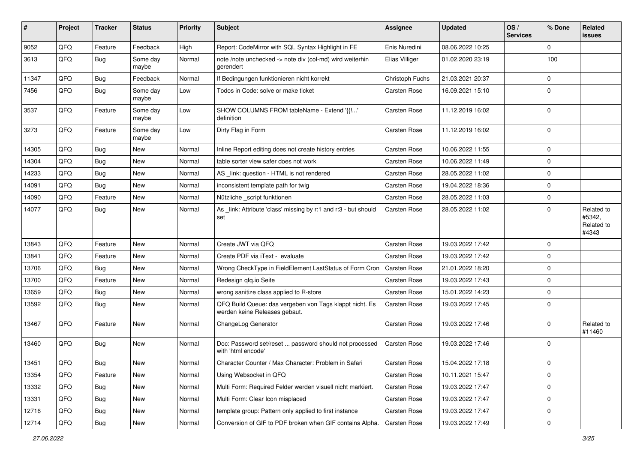| #     | Project | <b>Tracker</b> | <b>Status</b>     | <b>Priority</b> | <b>Subject</b>                                                                           | Assignee            | <b>Updated</b>   | OS/<br><b>Services</b> | % Done      | Related<br><b>issues</b>                    |
|-------|---------|----------------|-------------------|-----------------|------------------------------------------------------------------------------------------|---------------------|------------------|------------------------|-------------|---------------------------------------------|
| 9052  | QFQ     | Feature        | Feedback          | High            | Report: CodeMirror with SQL Syntax Highlight in FE                                       | Enis Nuredini       | 08.06.2022 10:25 |                        | $\Omega$    |                                             |
| 3613  | QFQ     | <b>Bug</b>     | Some day<br>maybe | Normal          | note /note unchecked -> note div (col-md) wird weiterhin<br>gerendert                    | Elias Villiger      | 01.02.2020 23:19 |                        | 100         |                                             |
| 11347 | QFQ     | Bug            | Feedback          | Normal          | If Bedingungen funktionieren nicht korrekt                                               | Christoph Fuchs     | 21.03.2021 20:37 |                        | $\mathbf 0$ |                                             |
| 7456  | QFQ     | Bug            | Some day<br>maybe | Low             | Todos in Code: solve or make ticket                                                      | Carsten Rose        | 16.09.2021 15:10 |                        | $\Omega$    |                                             |
| 3537  | QFQ     | Feature        | Some day<br>maybe | Low             | SHOW COLUMNS FROM tableName - Extend '{{!'<br>definition                                 | Carsten Rose        | 11.12.2019 16:02 |                        | $\mathbf 0$ |                                             |
| 3273  | QFQ     | Feature        | Some day<br>maybe | Low             | Dirty Flag in Form                                                                       | Carsten Rose        | 11.12.2019 16:02 |                        | $\mathbf 0$ |                                             |
| 14305 | QFQ     | Bug            | New               | Normal          | Inline Report editing does not create history entries                                    | Carsten Rose        | 10.06.2022 11:55 |                        | $\Omega$    |                                             |
| 14304 | QFQ     | Bug            | New               | Normal          | table sorter view safer does not work                                                    | Carsten Rose        | 10.06.2022 11:49 |                        | $\Omega$    |                                             |
| 14233 | QFQ     | Bug            | New               | Normal          | AS _link: question - HTML is not rendered                                                | Carsten Rose        | 28.05.2022 11:02 |                        | $\Omega$    |                                             |
| 14091 | QFQ     | Bug            | <b>New</b>        | Normal          | inconsistent template path for twig                                                      | Carsten Rose        | 19.04.2022 18:36 |                        | $\Omega$    |                                             |
| 14090 | QFQ     | Feature        | New               | Normal          | Nützliche _script funktionen                                                             | Carsten Rose        | 28.05.2022 11:03 |                        | 0           |                                             |
| 14077 | QFQ     | Bug            | New               | Normal          | As _link: Attribute 'class' missing by r:1 and r:3 - but should<br>set                   | Carsten Rose        | 28.05.2022 11:02 |                        | $\Omega$    | Related to<br>#5342,<br>Related to<br>#4343 |
| 13843 | QFQ     | Feature        | <b>New</b>        | Normal          | Create JWT via QFQ                                                                       | Carsten Rose        | 19.03.2022 17:42 |                        | $\Omega$    |                                             |
| 13841 | QFQ     | Feature        | New               | Normal          | Create PDF via iText - evaluate                                                          | Carsten Rose        | 19.03.2022 17:42 |                        | $\Omega$    |                                             |
| 13706 | QFQ     | Bug            | <b>New</b>        | Normal          | Wrong CheckType in FieldElement LastStatus of Form Cron                                  | <b>Carsten Rose</b> | 21.01.2022 18:20 |                        | $\Omega$    |                                             |
| 13700 | QFQ     | Feature        | New               | Normal          | Redesign qfq.io Seite                                                                    | Carsten Rose        | 19.03.2022 17:43 |                        | $\Omega$    |                                             |
| 13659 | QFQ     | Bug            | New               | Normal          | wrong sanitize class applied to R-store                                                  | Carsten Rose        | 15.01.2022 14:23 |                        | $\Omega$    |                                             |
| 13592 | QFQ     | Bug            | New               | Normal          | QFQ Build Queue: das vergeben von Tags klappt nicht. Es<br>werden keine Releases gebaut. | Carsten Rose        | 19.03.2022 17:45 |                        | $\mathbf 0$ |                                             |
| 13467 | QFQ     | Feature        | New               | Normal          | ChangeLog Generator                                                                      | Carsten Rose        | 19.03.2022 17:46 |                        | $\Omega$    | Related to<br>#11460                        |
| 13460 | QFQ     | Bug            | New               | Normal          | Doc: Password set/reset  password should not processed<br>with 'html encode'             | Carsten Rose        | 19.03.2022 17:46 |                        | $\Omega$    |                                             |
| 13451 | QFQ     | Bug            | New               | Normal          | Character Counter / Max Character: Problem in Safari                                     | Carsten Rose        | 15.04.2022 17:18 |                        | $\Omega$    |                                             |
| 13354 | QFQ     | Feature        | New               | Normal          | Using Websocket in QFQ                                                                   | Carsten Rose        | 10.11.2021 15:47 |                        | $\mathbf 0$ |                                             |
| 13332 | QFQ     | <b>Bug</b>     | New               | Normal          | Multi Form: Required Felder werden visuell nicht markiert.                               | Carsten Rose        | 19.03.2022 17:47 |                        | $\mathbf 0$ |                                             |
| 13331 | QFQ     | Bug            | New               | Normal          | Multi Form: Clear Icon misplaced                                                         | Carsten Rose        | 19.03.2022 17:47 |                        | 0           |                                             |
| 12716 | QFQ     | Bug            | New               | Normal          | template group: Pattern only applied to first instance                                   | Carsten Rose        | 19.03.2022 17:47 |                        | 0           |                                             |
| 12714 | QFQ     | <b>Bug</b>     | New               | Normal          | Conversion of GIF to PDF broken when GIF contains Alpha.                                 | Carsten Rose        | 19.03.2022 17:49 |                        | $\mathbf 0$ |                                             |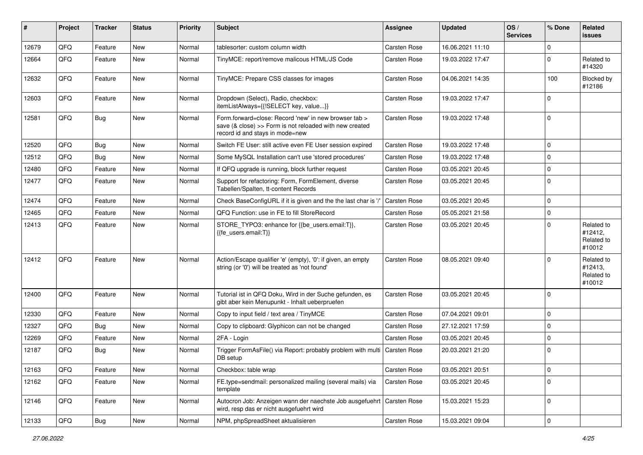| #     | Project | <b>Tracker</b> | <b>Status</b> | <b>Priority</b> | Subject                                                                                                                                             | Assignee     | <b>Updated</b>   | OS/<br><b>Services</b> | % Done      | <b>Related</b><br><b>issues</b>               |
|-------|---------|----------------|---------------|-----------------|-----------------------------------------------------------------------------------------------------------------------------------------------------|--------------|------------------|------------------------|-------------|-----------------------------------------------|
| 12679 | QFQ     | Feature        | <b>New</b>    | Normal          | tablesorter: custom column width                                                                                                                    | Carsten Rose | 16.06.2021 11:10 |                        | $\mathbf 0$ |                                               |
| 12664 | QFQ     | Feature        | New           | Normal          | TinyMCE: report/remove malicous HTML/JS Code                                                                                                        | Carsten Rose | 19.03.2022 17:47 |                        | $\mathbf 0$ | Related to<br>#14320                          |
| 12632 | QFQ     | Feature        | New           | Normal          | TinyMCE: Prepare CSS classes for images                                                                                                             | Carsten Rose | 04.06.2021 14:35 |                        | 100         | Blocked by<br>#12186                          |
| 12603 | QFQ     | Feature        | New           | Normal          | Dropdown (Select), Radio, checkbox:<br>itemListAlways={{!SELECT key, value}}                                                                        | Carsten Rose | 19.03.2022 17:47 |                        | $\mathbf 0$ |                                               |
| 12581 | QFQ     | Bug            | New           | Normal          | Form.forward=close: Record 'new' in new browser tab ><br>save (& close) >> Form is not reloaded with new created<br>record id and stays in mode=new | Carsten Rose | 19.03.2022 17:48 |                        | $\mathbf 0$ |                                               |
| 12520 | QFQ     | Bug            | <b>New</b>    | Normal          | Switch FE User: still active even FE User session expired                                                                                           | Carsten Rose | 19.03.2022 17:48 |                        | $\mathbf 0$ |                                               |
| 12512 | QFQ     | <b>Bug</b>     | <b>New</b>    | Normal          | Some MySQL Installation can't use 'stored procedures'                                                                                               | Carsten Rose | 19.03.2022 17:48 |                        | $\mathbf 0$ |                                               |
| 12480 | QFQ     | Feature        | New           | Normal          | If QFQ upgrade is running, block further request                                                                                                    | Carsten Rose | 03.05.2021 20:45 |                        | $\mathbf 0$ |                                               |
| 12477 | QFQ     | Feature        | New           | Normal          | Support for refactoring: Form, FormElement, diverse<br>Tabellen/Spalten, tt-content Records                                                         | Carsten Rose | 03.05.2021 20:45 |                        | $\mathbf 0$ |                                               |
| 12474 | QFQ     | Feature        | New           | Normal          | Check BaseConfigURL if it is given and the the last char is '/'                                                                                     | Carsten Rose | 03.05.2021 20:45 |                        | $\mathbf 0$ |                                               |
| 12465 | QFQ     | Feature        | New           | Normal          | QFQ Function: use in FE to fill StoreRecord                                                                                                         | Carsten Rose | 05.05.2021 21:58 |                        | $\mathbf 0$ |                                               |
| 12413 | QFQ     | Feature        | New           | Normal          | STORE_TYPO3: enhance for {{be_users.email:T}},<br>{{fe users.email:T}}                                                                              | Carsten Rose | 03.05.2021 20:45 |                        | $\mathbf 0$ | Related to<br>#12412,<br>Related to<br>#10012 |
| 12412 | QFQ     | Feature        | New           | Normal          | Action/Escape qualifier 'e' (empty), '0': if given, an empty<br>string (or '0') will be treated as 'not found'                                      | Carsten Rose | 08.05.2021 09:40 |                        | $\Omega$    | Related to<br>#12413,<br>Related to<br>#10012 |
| 12400 | QFQ     | Feature        | New           | Normal          | Tutorial ist in QFQ Doku, Wird in der Suche gefunden, es<br>gibt aber kein Menupunkt - Inhalt ueberpruefen                                          | Carsten Rose | 03.05.2021 20:45 |                        | $\mathbf 0$ |                                               |
| 12330 | QFQ     | Feature        | New           | Normal          | Copy to input field / text area / TinyMCE                                                                                                           | Carsten Rose | 07.04.2021 09:01 |                        | $\pmb{0}$   |                                               |
| 12327 | QFQ     | Bug            | New           | Normal          | Copy to clipboard: Glyphicon can not be changed                                                                                                     | Carsten Rose | 27.12.2021 17:59 |                        | $\mathbf 0$ |                                               |
| 12269 | QFQ     | Feature        | New           | Normal          | 2FA - Login                                                                                                                                         | Carsten Rose | 03.05.2021 20:45 |                        | $\mathbf 0$ |                                               |
| 12187 | QFQ     | Bug            | New           | Normal          | Trigger FormAsFile() via Report: probably problem with multi<br>DB setup                                                                            | Carsten Rose | 20.03.2021 21:20 |                        | $\mathbf 0$ |                                               |
| 12163 | QFQ     | Feature        | New           | Normal          | Checkbox: table wrap                                                                                                                                | Carsten Rose | 03.05.2021 20:51 |                        | $\pmb{0}$   |                                               |
| 12162 | QFQ     | Feature        | New           | Normal          | FE.type=sendmail: personalized mailing (several mails) via<br>template                                                                              | Carsten Rose | 03.05.2021 20:45 |                        | $\mathbf 0$ |                                               |
| 12146 | QFQ     | Feature        | New           | Normal          | Autocron Job: Anzeigen wann der naechste Job ausgefuehrt   Carsten Rose<br>wird, resp das er nicht ausgefuehrt wird                                 |              | 15.03.2021 15:23 |                        | $\pmb{0}$   |                                               |
| 12133 | QFQ     | Bug            | New           | Normal          | NPM, phpSpreadSheet aktualisieren                                                                                                                   | Carsten Rose | 15.03.2021 09:04 |                        | $\pmb{0}$   |                                               |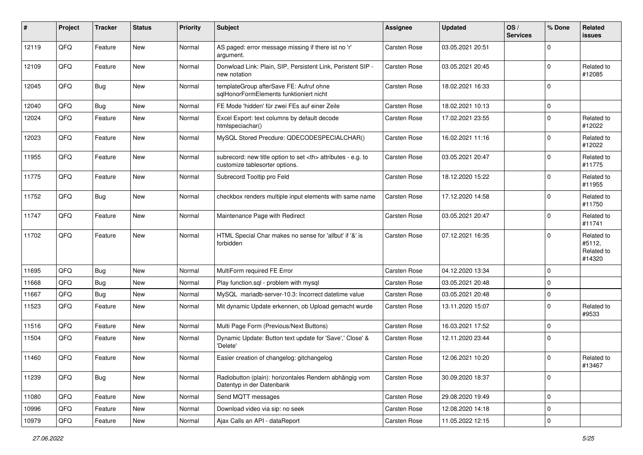| #     | Project | <b>Tracker</b> | <b>Status</b> | <b>Priority</b> | <b>Subject</b>                                                                                       | <b>Assignee</b>                                        | <b>Updated</b>   | OS/<br><b>Services</b> | % Done      | Related<br><b>issues</b>                     |                      |
|-------|---------|----------------|---------------|-----------------|------------------------------------------------------------------------------------------------------|--------------------------------------------------------|------------------|------------------------|-------------|----------------------------------------------|----------------------|
| 12119 | QFQ     | Feature        | <b>New</b>    | Normal          | AS paged: error message missing if there ist no 'r'<br>argument.                                     | Carsten Rose                                           | 03.05.2021 20:51 |                        | $\mathbf 0$ |                                              |                      |
| 12109 | QFQ     | Feature        | New           | Normal          | Donwload Link: Plain, SIP, Persistent Link, Peristent SIP -<br>new notation                          | Carsten Rose                                           | 03.05.2021 20:45 |                        | $\mathbf 0$ | Related to<br>#12085                         |                      |
| 12045 | QFQ     | <b>Bug</b>     | New           | Normal          | templateGroup afterSave FE: Aufruf ohne<br>sqlHonorFormElements funktioniert nicht                   | Carsten Rose                                           | 18.02.2021 16:33 |                        | $\mathbf 0$ |                                              |                      |
| 12040 | QFQ     | <b>Bug</b>     | <b>New</b>    | Normal          | FE Mode 'hidden' für zwei FEs auf einer Zeile                                                        | Carsten Rose                                           | 18.02.2021 10:13 |                        | $\mathbf 0$ |                                              |                      |
| 12024 | QFQ     | Feature        | New           | Normal          | Excel Export: text columns by default decode<br>htmlspeciachar()                                     | Carsten Rose                                           | 17.02.2021 23:55 |                        | $\mathbf 0$ | Related to<br>#12022                         |                      |
| 12023 | QFQ     | Feature        | New           | Normal          | MySQL Stored Precdure: QDECODESPECIALCHAR()                                                          | Carsten Rose                                           | 16.02.2021 11:16 |                        | $\mathbf 0$ | Related to<br>#12022                         |                      |
| 11955 | QFQ     | Feature        | <b>New</b>    | Normal          | subrecord: new title option to set <th> attributes - e.g. to<br/>customize tablesorter options.</th> | attributes - e.g. to<br>customize tablesorter options. | Carsten Rose     | 03.05.2021 20:47       |             | $\mathbf 0$                                  | Related to<br>#11775 |
| 11775 | QFQ     | Feature        | <b>New</b>    | Normal          | Subrecord Tooltip pro Feld                                                                           | Carsten Rose                                           | 18.12.2020 15:22 |                        | $\mathbf 0$ | Related to<br>#11955                         |                      |
| 11752 | QFQ     | <b>Bug</b>     | New           | Normal          | checkbox renders multiple input elements with same name                                              | Carsten Rose                                           | 17.12.2020 14:58 |                        | $\mathbf 0$ | Related to<br>#11750                         |                      |
| 11747 | QFQ     | Feature        | <b>New</b>    | Normal          | Maintenance Page with Redirect                                                                       | Carsten Rose                                           | 03.05.2021 20:47 |                        | $\mathbf 0$ | Related to<br>#11741                         |                      |
| 11702 | QFQ     | Feature        | <b>New</b>    | Normal          | HTML Special Char makes no sense for 'allbut' if '&' is<br>forbidden                                 | Carsten Rose                                           | 07.12.2021 16:35 |                        | $\mathbf 0$ | Related to<br>#5112,<br>Related to<br>#14320 |                      |
| 11695 | QFQ     | <b>Bug</b>     | New           | Normal          | MultiForm required FE Error                                                                          | Carsten Rose                                           | 04.12.2020 13:34 |                        | $\mathbf 0$ |                                              |                      |
| 11668 | QFQ     | <b>Bug</b>     | New           | Normal          | Play function.sql - problem with mysql                                                               | Carsten Rose                                           | 03.05.2021 20:48 |                        | $\mathbf 0$ |                                              |                      |
| 11667 | QFQ     | <b>Bug</b>     | <b>New</b>    | Normal          | MySQL mariadb-server-10.3: Incorrect datetime value                                                  | Carsten Rose                                           | 03.05.2021 20:48 |                        | $\mathbf 0$ |                                              |                      |
| 11523 | QFQ     | Feature        | New           | Normal          | Mit dynamic Update erkennen, ob Upload gemacht wurde                                                 | Carsten Rose                                           | 13.11.2020 15:07 |                        | $\mathbf 0$ | Related to<br>#9533                          |                      |
| 11516 | QFQ     | Feature        | <b>New</b>    | Normal          | Multi Page Form (Previous/Next Buttons)                                                              | Carsten Rose                                           | 16.03.2021 17:52 |                        | $\mathbf 0$ |                                              |                      |
| 11504 | QFQ     | Feature        | New           | Normal          | Dynamic Update: Button text update for 'Save',' Close' &<br>'Delete'                                 | Carsten Rose                                           | 12.11.2020 23:44 |                        | $\mathbf 0$ |                                              |                      |
| 11460 | QFQ     | Feature        | New           | Normal          | Easier creation of changelog: gitchangelog                                                           | Carsten Rose                                           | 12.06.2021 10:20 |                        | $\mathbf 0$ | Related to<br>#13467                         |                      |
| 11239 | QFQ     | <b>Bug</b>     | New           | Normal          | Radiobutton (plain): horizontales Rendern abhängig vom<br>Datentyp in der Datenbank                  | Carsten Rose                                           | 30.09.2020 18:37 |                        | $\mathbf 0$ |                                              |                      |
| 11080 | QFQ     | Feature        | New           | Normal          | Send MQTT messages                                                                                   | Carsten Rose                                           | 29.08.2020 19:49 |                        | $\pmb{0}$   |                                              |                      |
| 10996 | QFQ     | Feature        | New           | Normal          | Download video via sip: no seek                                                                      | Carsten Rose                                           | 12.08.2020 14:18 |                        | $\mathbf 0$ |                                              |                      |
| 10979 | QFQ     | Feature        | New           | Normal          | Ajax Calls an API - dataReport                                                                       | Carsten Rose                                           | 11.05.2022 12:15 |                        | $\pmb{0}$   |                                              |                      |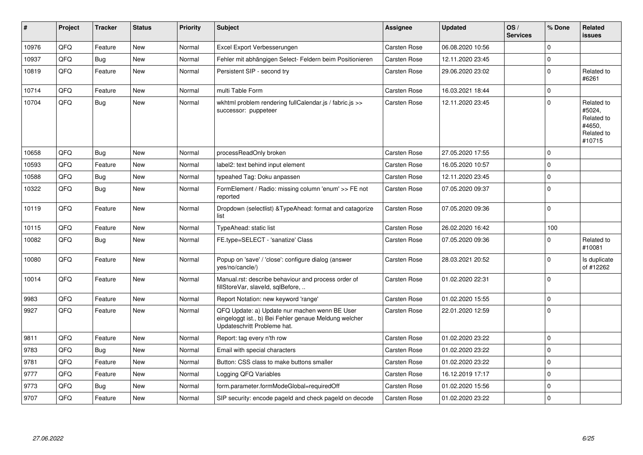| #     | Project | <b>Tracker</b> | <b>Status</b> | <b>Priority</b> | <b>Subject</b>                                                                                                                        | <b>Assignee</b>     | <b>Updated</b>   | OS/<br><b>Services</b> | % Done      | Related<br>issues                                                    |
|-------|---------|----------------|---------------|-----------------|---------------------------------------------------------------------------------------------------------------------------------------|---------------------|------------------|------------------------|-------------|----------------------------------------------------------------------|
| 10976 | QFQ     | Feature        | <b>New</b>    | Normal          | Excel Export Verbesserungen                                                                                                           | Carsten Rose        | 06.08.2020 10:56 |                        | $\Omega$    |                                                                      |
| 10937 | QFQ     | <b>Bug</b>     | <b>New</b>    | Normal          | Fehler mit abhängigen Select- Feldern beim Positionieren                                                                              | Carsten Rose        | 12.11.2020 23:45 |                        | $\mathbf 0$ |                                                                      |
| 10819 | QFQ     | Feature        | New           | Normal          | Persistent SIP - second try                                                                                                           | Carsten Rose        | 29.06.2020 23:02 |                        | $\mathbf 0$ | Related to<br>#6261                                                  |
| 10714 | QFQ     | Feature        | <b>New</b>    | Normal          | multi Table Form                                                                                                                      | Carsten Rose        | 16.03.2021 18:44 |                        | $\mathbf 0$ |                                                                      |
| 10704 | QFQ     | <b>Bug</b>     | <b>New</b>    | Normal          | wkhtml problem rendering fullCalendar.js / fabric.js >><br>successor: puppeteer                                                       | Carsten Rose        | 12.11.2020 23:45 |                        | $\mathbf 0$ | Related to<br>#5024,<br>Related to<br>#4650.<br>Related to<br>#10715 |
| 10658 | QFQ     | Bug            | <b>New</b>    | Normal          | processReadOnly broken                                                                                                                | <b>Carsten Rose</b> | 27.05.2020 17:55 |                        | $\mathbf 0$ |                                                                      |
| 10593 | QFQ     | Feature        | New           | Normal          | label2: text behind input element                                                                                                     | Carsten Rose        | 16.05.2020 10:57 |                        | $\mathbf 0$ |                                                                      |
| 10588 | QFQ     | <b>Bug</b>     | New           | Normal          | typeahed Tag: Doku anpassen                                                                                                           | Carsten Rose        | 12.11.2020 23:45 |                        | $\mathbf 0$ |                                                                      |
| 10322 | QFQ     | <b>Bug</b>     | New           | Normal          | FormElement / Radio: missing column 'enum' >> FE not<br>reported                                                                      | Carsten Rose        | 07.05.2020 09:37 |                        | $\mathbf 0$ |                                                                      |
| 10119 | QFQ     | Feature        | <b>New</b>    | Normal          | Dropdown (selectlist) & Type Ahead: format and catagorize<br>list                                                                     | Carsten Rose        | 07.05.2020 09:36 |                        | $\mathbf 0$ |                                                                      |
| 10115 | QFQ     | Feature        | New           | Normal          | TypeAhead: static list                                                                                                                | Carsten Rose        | 26.02.2020 16:42 |                        | 100         |                                                                      |
| 10082 | QFQ     | <b>Bug</b>     | <b>New</b>    | Normal          | FE.type=SELECT - 'sanatize' Class                                                                                                     | Carsten Rose        | 07.05.2020 09:36 |                        | $\mathbf 0$ | Related to<br>#10081                                                 |
| 10080 | QFQ     | Feature        | <b>New</b>    | Normal          | Popup on 'save' / 'close': configure dialog (answer<br>yes/no/cancle/)                                                                | Carsten Rose        | 28.03.2021 20:52 |                        | $\mathbf 0$ | Is duplicate<br>of #12262                                            |
| 10014 | QFQ     | Feature        | New           | Normal          | Manual.rst: describe behaviour and process order of<br>fillStoreVar, slaveId, sqlBefore,                                              | Carsten Rose        | 01.02.2020 22:31 |                        | $\mathbf 0$ |                                                                      |
| 9983  | QFQ     | Feature        | <b>New</b>    | Normal          | Report Notation: new keyword 'range'                                                                                                  | <b>Carsten Rose</b> | 01.02.2020 15:55 |                        | $\mathbf 0$ |                                                                      |
| 9927  | QFQ     | Feature        | New           | Normal          | QFQ Update: a) Update nur machen wenn BE User<br>eingeloggt ist., b) Bei Fehler genaue Meldung welcher<br>Updateschritt Probleme hat. | Carsten Rose        | 22.01.2020 12:59 |                        | $\mathbf 0$ |                                                                      |
| 9811  | QFQ     | Feature        | New           | Normal          | Report: tag every n'th row                                                                                                            | <b>Carsten Rose</b> | 01.02.2020 23:22 |                        | $\mathbf 0$ |                                                                      |
| 9783  | QFQ     | Bug            | New           | Normal          | Email with special characters                                                                                                         | Carsten Rose        | 01.02.2020 23:22 |                        | $\mathbf 0$ |                                                                      |
| 9781  | QFQ     | Feature        | New           | Normal          | Button: CSS class to make buttons smaller                                                                                             | Carsten Rose        | 01.02.2020 23:22 |                        | $\mathbf 0$ |                                                                      |
| 9777  | QFQ     | Feature        | New           | Normal          | Logging QFQ Variables                                                                                                                 | Carsten Rose        | 16.12.2019 17:17 |                        | $\mathbf 0$ |                                                                      |
| 9773  | QFQ     | Bug            | New           | Normal          | form.parameter.formModeGlobal=requiredOff                                                                                             | Carsten Rose        | 01.02.2020 15:56 |                        | $\mathbf 0$ |                                                                      |
| 9707  | QFQ     | Feature        | <b>New</b>    | Normal          | SIP security: encode pageld and check pageld on decode                                                                                | Carsten Rose        | 01.02.2020 23:22 |                        | $\mathbf 0$ |                                                                      |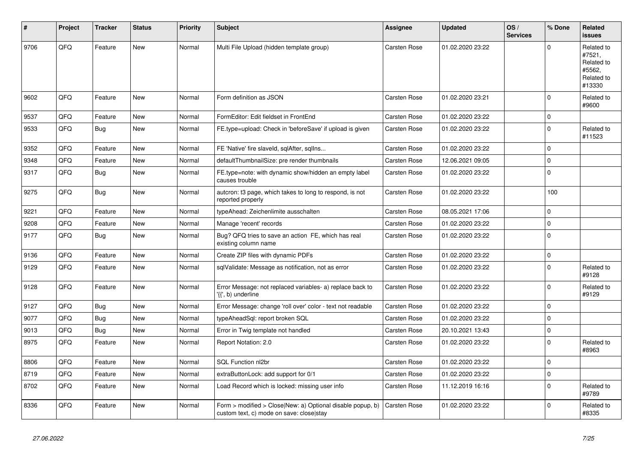| #    | Project | <b>Tracker</b> | <b>Status</b> | <b>Priority</b> | <b>Subject</b>                                                                                         | Assignee            | <b>Updated</b>   | OS/<br><b>Services</b> | % Done      | Related<br><b>issues</b>                                             |
|------|---------|----------------|---------------|-----------------|--------------------------------------------------------------------------------------------------------|---------------------|------------------|------------------------|-------------|----------------------------------------------------------------------|
| 9706 | QFQ     | Feature        | New           | Normal          | Multi File Upload (hidden template group)                                                              | Carsten Rose        | 01.02.2020 23:22 |                        | $\mathbf 0$ | Related to<br>#7521,<br>Related to<br>#5562,<br>Related to<br>#13330 |
| 9602 | QFQ     | Feature        | New           | Normal          | Form definition as JSON                                                                                | Carsten Rose        | 01.02.2020 23:21 |                        | $\mathbf 0$ | Related to<br>#9600                                                  |
| 9537 | QFQ     | Feature        | New           | Normal          | FormEditor: Edit fieldset in FrontEnd                                                                  | Carsten Rose        | 01.02.2020 23:22 |                        | $\pmb{0}$   |                                                                      |
| 9533 | QFQ     | <b>Bug</b>     | New           | Normal          | FE.type=upload: Check in 'beforeSave' if upload is given                                               | Carsten Rose        | 01.02.2020 23:22 |                        | $\mathbf 0$ | Related to<br>#11523                                                 |
| 9352 | QFQ     | Feature        | <b>New</b>    | Normal          | FE 'Native' fire slaveld, sqlAfter, sqlIns                                                             | Carsten Rose        | 01.02.2020 23:22 |                        | $\mathbf 0$ |                                                                      |
| 9348 | QFQ     | Feature        | <b>New</b>    | Normal          | defaultThumbnailSize: pre render thumbnails                                                            | Carsten Rose        | 12.06.2021 09:05 |                        | $\mathbf 0$ |                                                                      |
| 9317 | QFQ     | <b>Bug</b>     | New           | Normal          | FE.type=note: with dynamic show/hidden an empty label<br>causes trouble                                | Carsten Rose        | 01.02.2020 23:22 |                        | $\mathbf 0$ |                                                                      |
| 9275 | QFQ     | Bug            | New           | Normal          | autcron: t3 page, which takes to long to respond, is not<br>reported properly                          | <b>Carsten Rose</b> | 01.02.2020 23:22 |                        | 100         |                                                                      |
| 9221 | QFQ     | Feature        | New           | Normal          | typeAhead: Zeichenlimite ausschalten                                                                   | Carsten Rose        | 08.05.2021 17:06 |                        | $\mathbf 0$ |                                                                      |
| 9208 | QFQ     | Feature        | New           | Normal          | Manage 'recent' records                                                                                | Carsten Rose        | 01.02.2020 23:22 |                        | $\pmb{0}$   |                                                                      |
| 9177 | QFQ     | <b>Bug</b>     | New           | Normal          | Bug? QFQ tries to save an action FE, which has real<br>existing column name                            | Carsten Rose        | 01.02.2020 23:22 |                        | $\mathbf 0$ |                                                                      |
| 9136 | QFQ     | Feature        | New           | Normal          | Create ZIP files with dynamic PDFs                                                                     | Carsten Rose        | 01.02.2020 23:22 |                        | $\pmb{0}$   |                                                                      |
| 9129 | QFQ     | Feature        | New           | Normal          | sqlValidate: Message as notification, not as error                                                     | Carsten Rose        | 01.02.2020 23:22 |                        | $\mathbf 0$ | Related to<br>#9128                                                  |
| 9128 | QFQ     | Feature        | New           | Normal          | Error Message: not replaced variables- a) replace back to<br>'{{', b) underline                        | Carsten Rose        | 01.02.2020 23:22 |                        | $\mathbf 0$ | Related to<br>#9129                                                  |
| 9127 | QFQ     | <b>Bug</b>     | <b>New</b>    | Normal          | Error Message: change 'roll over' color - text not readable                                            | Carsten Rose        | 01.02.2020 23:22 |                        | $\Omega$    |                                                                      |
| 9077 | QFQ     | <b>Bug</b>     | New           | Normal          | typeAheadSql: report broken SQL                                                                        | Carsten Rose        | 01.02.2020 23:22 |                        | $\mathbf 0$ |                                                                      |
| 9013 | QFQ     | Bug            | New           | Normal          | Error in Twig template not handled                                                                     | Carsten Rose        | 20.10.2021 13:43 |                        | $\pmb{0}$   |                                                                      |
| 8975 | QFQ     | Feature        | New           | Normal          | Report Notation: 2.0                                                                                   | Carsten Rose        | 01.02.2020 23:22 |                        | $\pmb{0}$   | Related to<br>#8963                                                  |
| 8806 | QFQ     | Feature        | <b>New</b>    | Normal          | SQL Function nl2br                                                                                     | Carsten Rose        | 01.02.2020 23:22 |                        | $\pmb{0}$   |                                                                      |
| 8719 | QFQ     | Feature        | New           | Normal          | extraButtonLock: add support for 0/1                                                                   | Carsten Rose        | 01.02.2020 23:22 |                        | $\mathbf 0$ |                                                                      |
| 8702 | QFQ     | Feature        | New           | Normal          | Load Record which is locked: missing user info                                                         | Carsten Rose        | 11.12.2019 16:16 |                        | $\mathbf 0$ | Related to<br>#9789                                                  |
| 8336 | QFQ     | Feature        | New           | Normal          | Form > modified > Close New: a) Optional disable popup, b)<br>custom text, c) mode on save: close stay | Carsten Rose        | 01.02.2020 23:22 |                        | $\mathbf 0$ | Related to<br>#8335                                                  |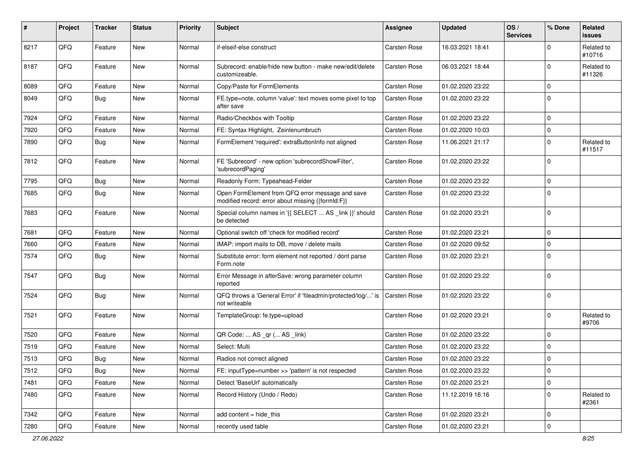| #    | Project | <b>Tracker</b> | <b>Status</b> | <b>Priority</b> | <b>Subject</b>                                                                                        | Assignee            | <b>Updated</b>   | OS/<br><b>Services</b> | % Done       | Related<br><b>issues</b> |
|------|---------|----------------|---------------|-----------------|-------------------------------------------------------------------------------------------------------|---------------------|------------------|------------------------|--------------|--------------------------|
| 8217 | QFQ     | Feature        | New           | Normal          | if-elseif-else construct                                                                              | Carsten Rose        | 16.03.2021 18:41 |                        | $\mathbf 0$  | Related to<br>#10716     |
| 8187 | QFQ     | Feature        | New           | Normal          | Subrecord: enable/hide new button - make new/edit/delete<br>customizeable.                            | Carsten Rose        | 06.03.2021 18:44 |                        | $\mathbf{0}$ | Related to<br>#11326     |
| 8089 | QFQ     | Feature        | New           | Normal          | Copy/Paste for FormElements                                                                           | Carsten Rose        | 01.02.2020 23:22 |                        | $\mathbf 0$  |                          |
| 8049 | QFQ     | <b>Bug</b>     | New           | Normal          | FE.type=note, column 'value': text moves some pixel to top<br>after save                              | Carsten Rose        | 01.02.2020 23:22 |                        | $\mathbf 0$  |                          |
| 7924 | QFQ     | Feature        | New           | Normal          | Radio/Checkbox with Tooltip                                                                           | Carsten Rose        | 01.02.2020 23:22 |                        | $\mathbf 0$  |                          |
| 7920 | QFQ     | Feature        | New           | Normal          | FE: Syntax Highlight, Zeinlenumbruch                                                                  | <b>Carsten Rose</b> | 01.02.2020 10:03 |                        | $\mathbf 0$  |                          |
| 7890 | QFQ     | Bug            | New           | Normal          | FormElement 'required': extraButtonInfo not aligned                                                   | Carsten Rose        | 11.06.2021 21:17 |                        | $\mathbf 0$  | Related to<br>#11517     |
| 7812 | QFQ     | Feature        | New           | Normal          | FE 'Subrecord' - new option 'subrecordShowFilter',<br>'subrecordPaging'                               | Carsten Rose        | 01.02.2020 23:22 |                        | $\mathbf 0$  |                          |
| 7795 | QFQ     | Bug            | New           | Normal          | Readonly Form: Typeahead-Felder                                                                       | Carsten Rose        | 01.02.2020 23:22 |                        | $\mathbf 0$  |                          |
| 7685 | QFQ     | <b>Bug</b>     | New           | Normal          | Open FormElement from QFQ error message and save<br>modified record: error about missing {{formId:F}} | Carsten Rose        | 01.02.2020 23:22 |                        | $\mathbf 0$  |                          |
| 7683 | QFQ     | Feature        | New           | Normal          | Special column names in '{{ SELECT  AS _link }}' should<br>be detected                                | Carsten Rose        | 01.02.2020 23:21 |                        | $\mathbf 0$  |                          |
| 7681 | QFQ     | Feature        | New           | Normal          | Optional switch off 'check for modified record'                                                       | <b>Carsten Rose</b> | 01.02.2020 23:21 |                        | $\mathbf 0$  |                          |
| 7660 | QFQ     | Feature        | New           | Normal          | IMAP: import mails to DB, move / delete mails                                                         | Carsten Rose        | 01.02.2020 09:52 |                        | $\mathbf 0$  |                          |
| 7574 | QFQ     | Bug            | New           | Normal          | Substitute error: form element not reported / dont parse<br>Form.note                                 | <b>Carsten Rose</b> | 01.02.2020 23:21 |                        | $\mathbf 0$  |                          |
| 7547 | QFQ     | <b>Bug</b>     | New           | Normal          | Error Message in afterSave: wrong parameter column<br>reported                                        | Carsten Rose        | 01.02.2020 23:22 |                        | $\mathbf 0$  |                          |
| 7524 | QFQ     | Bug            | New           | Normal          | QFQ throws a 'General Error' if 'fileadmin/protected/log/' is<br>not writeable                        | Carsten Rose        | 01.02.2020 23:22 |                        | $\mathbf 0$  |                          |
| 7521 | QFQ     | Feature        | New           | Normal          | TemplateGroup: fe.type=upload                                                                         | Carsten Rose        | 01.02.2020 23:21 |                        | $\mathbf 0$  | Related to<br>#9706      |
| 7520 | QFQ     | Feature        | New           | Normal          | QR Code:  AS _qr ( AS _link)                                                                          | Carsten Rose        | 01.02.2020 23:22 |                        | $\mathbf 0$  |                          |
| 7519 | QFQ     | Feature        | New           | Normal          | Select: Multi                                                                                         | Carsten Rose        | 01.02.2020 23:22 |                        | $\mathbf 0$  |                          |
| 7513 | QFQ     | Bug            | New           | Normal          | Radios not correct aligned                                                                            | Carsten Rose        | 01.02.2020 23:22 |                        | $\mathbf 0$  |                          |
| 7512 | QFQ     | <b>Bug</b>     | New           | Normal          | FE: inputType=number >> 'pattern' is not respected                                                    | Carsten Rose        | 01.02.2020 23:22 |                        | $\mathbf 0$  |                          |
| 7481 | QFQ     | Feature        | New           | Normal          | Detect 'BaseUrl' automatically                                                                        | Carsten Rose        | 01.02.2020 23:21 |                        | $\mathbf 0$  |                          |
| 7480 | QFQ     | Feature        | New           | Normal          | Record History (Undo / Redo)                                                                          | Carsten Rose        | 11.12.2019 16:16 |                        | $\mathbf 0$  | Related to<br>#2361      |
| 7342 | QFQ     | Feature        | New           | Normal          | add content = hide_this                                                                               | Carsten Rose        | 01.02.2020 23:21 |                        | $\mathbf 0$  |                          |
| 7280 | QFQ     | Feature        | New           | Normal          | recently used table                                                                                   | Carsten Rose        | 01.02.2020 23:21 |                        | $\mathbf 0$  |                          |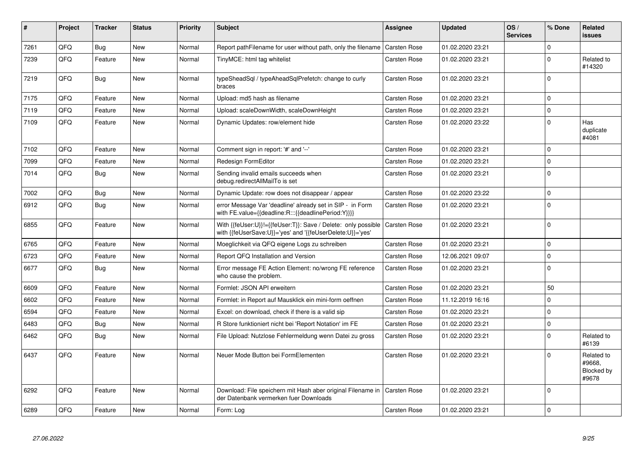| #    | Project | <b>Tracker</b> | <b>Status</b> | <b>Priority</b> | <b>Subject</b>                                                                                                             | <b>Assignee</b> | <b>Updated</b>   | OS/<br><b>Services</b> | % Done      | Related<br><b>issues</b>                    |
|------|---------|----------------|---------------|-----------------|----------------------------------------------------------------------------------------------------------------------------|-----------------|------------------|------------------------|-------------|---------------------------------------------|
| 7261 | QFQ     | Bug            | New           | Normal          | Report pathFilename for user without path, only the filename                                                               | Carsten Rose    | 01.02.2020 23:21 |                        | $\mathbf 0$ |                                             |
| 7239 | QFQ     | Feature        | New           | Normal          | TinyMCE: html tag whitelist                                                                                                | Carsten Rose    | 01.02.2020 23:21 |                        | $\mathbf 0$ | Related to<br>#14320                        |
| 7219 | QFQ     | Bug            | <b>New</b>    | Normal          | typeSheadSql / typeAheadSqlPrefetch: change to curly<br>braces                                                             | Carsten Rose    | 01.02.2020 23:21 |                        | $\mathbf 0$ |                                             |
| 7175 | QFQ     | Feature        | New           | Normal          | Upload: md5 hash as filename                                                                                               | Carsten Rose    | 01.02.2020 23:21 |                        | $\mathbf 0$ |                                             |
| 7119 | QFQ     | Feature        | <b>New</b>    | Normal          | Upload: scaleDownWidth, scaleDownHeight                                                                                    | Carsten Rose    | 01.02.2020 23:21 |                        | $\pmb{0}$   |                                             |
| 7109 | QFQ     | Feature        | New           | Normal          | Dynamic Updates: row/element hide                                                                                          | Carsten Rose    | 01.02.2020 23:22 |                        | $\mathbf 0$ | Has<br>duplicate<br>#4081                   |
| 7102 | QFQ     | Feature        | <b>New</b>    | Normal          | Comment sign in report: '#' and '--'                                                                                       | Carsten Rose    | 01.02.2020 23:21 |                        | $\mathbf 0$ |                                             |
| 7099 | QFQ     | Feature        | New           | Normal          | Redesign FormEditor                                                                                                        | Carsten Rose    | 01.02.2020 23:21 |                        | $\mathbf 0$ |                                             |
| 7014 | QFQ     | <b>Bug</b>     | <b>New</b>    | Normal          | Sending invalid emails succeeds when<br>debug.redirectAllMailTo is set                                                     | Carsten Rose    | 01.02.2020 23:21 |                        | $\mathbf 0$ |                                             |
| 7002 | QFQ     | Bug            | <b>New</b>    | Normal          | Dynamic Update: row does not disappear / appear                                                                            | Carsten Rose    | 01.02.2020 23:22 |                        | $\mathbf 0$ |                                             |
| 6912 | QFQ     | Bug            | <b>New</b>    | Normal          | error Message Var 'deadline' already set in SIP - in Form<br>with FE.value={{deadline:R:::{{deadlinePeriod:Y}}}}           | Carsten Rose    | 01.02.2020 23:21 |                        | $\pmb{0}$   |                                             |
| 6855 | QFQ     | Feature        | <b>New</b>    | Normal          | With {{feUser:U}}!={{feUser:T}}: Save / Delete: only possible<br>with {{feUserSave:U}}='yes' and '{{feUserDelete:U}}='yes' | Carsten Rose    | 01.02.2020 23:21 |                        | $\Omega$    |                                             |
| 6765 | QFQ     | Feature        | New           | Normal          | Moeglichkeit via QFQ eigene Logs zu schreiben                                                                              | Carsten Rose    | 01.02.2020 23:21 |                        | $\pmb{0}$   |                                             |
| 6723 | QFQ     | Feature        | New           | Normal          | Report QFQ Installation and Version                                                                                        | Carsten Rose    | 12.06.2021 09:07 |                        | $\mathbf 0$ |                                             |
| 6677 | QFQ     | <b>Bug</b>     | <b>New</b>    | Normal          | Error message FE Action Element: no/wrong FE reference<br>who cause the problem.                                           | Carsten Rose    | 01.02.2020 23:21 |                        | $\mathbf 0$ |                                             |
| 6609 | QFQ     | Feature        | <b>New</b>    | Normal          | Formlet: JSON API erweitern                                                                                                | Carsten Rose    | 01.02.2020 23:21 |                        | 50          |                                             |
| 6602 | QFQ     | Feature        | <b>New</b>    | Normal          | Formlet: in Report auf Mausklick ein mini-form oeffnen                                                                     | Carsten Rose    | 11.12.2019 16:16 |                        | $\mathbf 0$ |                                             |
| 6594 | QFQ     | Feature        | New           | Normal          | Excel: on download, check if there is a valid sip                                                                          | Carsten Rose    | 01.02.2020 23:21 |                        | $\mathbf 0$ |                                             |
| 6483 | QFQ     | <b>Bug</b>     | <b>New</b>    | Normal          | R Store funktioniert nicht bei 'Report Notation' im FE                                                                     | Carsten Rose    | 01.02.2020 23:21 |                        | $\pmb{0}$   |                                             |
| 6462 | QFQ     | Bug            | New           | Normal          | File Upload: Nutzlose Fehlermeldung wenn Datei zu gross                                                                    | Carsten Rose    | 01.02.2020 23:21 |                        | $\Omega$    | Related to<br>#6139                         |
| 6437 | QFQ     | Feature        | <b>New</b>    | Normal          | Neuer Mode Button bei FormElementen                                                                                        | Carsten Rose    | 01.02.2020 23:21 |                        | $\mathbf 0$ | Related to<br>#9668.<br>Blocked by<br>#9678 |
| 6292 | QFQ     | Feature        | New           | Normal          | Download: File speichern mit Hash aber original Filename in   Carsten Rose<br>der Datenbank vermerken fuer Downloads       |                 | 01.02.2020 23:21 |                        | $\mathbf 0$ |                                             |
| 6289 | QFQ     | Feature        | New           | Normal          | Form: Log                                                                                                                  | Carsten Rose    | 01.02.2020 23:21 |                        | $\mathbf 0$ |                                             |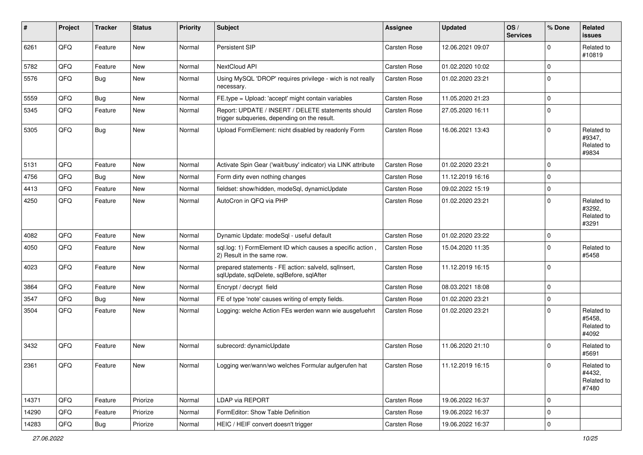| #     | Project | <b>Tracker</b> | <b>Status</b> | <b>Priority</b> | <b>Subject</b>                                                                                     | <b>Assignee</b>     | <b>Updated</b>   | OS/<br><b>Services</b> | % Done      | Related<br>issues                           |
|-------|---------|----------------|---------------|-----------------|----------------------------------------------------------------------------------------------------|---------------------|------------------|------------------------|-------------|---------------------------------------------|
| 6261  | QFQ     | Feature        | New           | Normal          | Persistent SIP                                                                                     | <b>Carsten Rose</b> | 12.06.2021 09:07 |                        | $\mathbf 0$ | Related to<br>#10819                        |
| 5782  | QFQ     | Feature        | New           | Normal          | NextCloud API                                                                                      | Carsten Rose        | 01.02.2020 10:02 |                        | $\mathbf 0$ |                                             |
| 5576  | QFQ     | <b>Bug</b>     | New           | Normal          | Using MySQL 'DROP' requires privilege - wich is not really<br>necessary.                           | <b>Carsten Rose</b> | 01.02.2020 23:21 |                        | $\Omega$    |                                             |
| 5559  | QFQ     | Bug            | New           | Normal          | FE.type = Upload: 'accept' might contain variables                                                 | Carsten Rose        | 11.05.2020 21:23 |                        | $\pmb{0}$   |                                             |
| 5345  | QFQ     | Feature        | New           | Normal          | Report: UPDATE / INSERT / DELETE statements should<br>trigger subqueries, depending on the result. | <b>Carsten Rose</b> | 27.05.2020 16:11 |                        | 0           |                                             |
| 5305  | QFQ     | Bug            | New           | Normal          | Upload FormElement: nicht disabled by readonly Form                                                | Carsten Rose        | 16.06.2021 13:43 |                        | $\Omega$    | Related to<br>#9347,<br>Related to<br>#9834 |
| 5131  | QFQ     | Feature        | New           | Normal          | Activate Spin Gear ('wait/busy' indicator) via LINK attribute                                      | Carsten Rose        | 01.02.2020 23:21 |                        | $\mathbf 0$ |                                             |
| 4756  | QFQ     | Bug            | New           | Normal          | Form dirty even nothing changes                                                                    | Carsten Rose        | 11.12.2019 16:16 |                        | $\mathbf 0$ |                                             |
| 4413  | QFQ     | Feature        | New           | Normal          | fieldset: show/hidden, modeSql, dynamicUpdate                                                      | <b>Carsten Rose</b> | 09.02.2022 15:19 |                        | 0           |                                             |
| 4250  | QFQ     | Feature        | New           | Normal          | AutoCron in QFQ via PHP                                                                            | <b>Carsten Rose</b> | 01.02.2020 23:21 |                        | $\mathbf 0$ | Related to<br>#3292,<br>Related to<br>#3291 |
| 4082  | QFQ     | Feature        | <b>New</b>    | Normal          | Dynamic Update: modeSql - useful default                                                           | Carsten Rose        | 01.02.2020 23:22 |                        | 0           |                                             |
| 4050  | QFQ     | Feature        | New           | Normal          | sql.log: 1) FormElement ID which causes a specific action,<br>2) Result in the same row.           | <b>Carsten Rose</b> | 15.04.2020 11:35 |                        | 0           | Related to<br>#5458                         |
| 4023  | QFQ     | Feature        | New           | Normal          | prepared statements - FE action: salveld, sqllnsert,<br>sqlUpdate, sqlDelete, sqlBefore, sqlAfter  | Carsten Rose        | 11.12.2019 16:15 |                        | $\Omega$    |                                             |
| 3864  | QFQ     | Feature        | New           | Normal          | Encrypt / decrypt field                                                                            | <b>Carsten Rose</b> | 08.03.2021 18:08 |                        | $\mathbf 0$ |                                             |
| 3547  | QFQ     | Bug            | New           | Normal          | FE of type 'note' causes writing of empty fields.                                                  | Carsten Rose        | 01.02.2020 23:21 |                        | 0           |                                             |
| 3504  | QFQ     | Feature        | New           | Normal          | Logging: welche Action FEs werden wann wie ausgefuehrt                                             | <b>Carsten Rose</b> | 01.02.2020 23:21 |                        | $\Omega$    | Related to<br>#5458,<br>Related to<br>#4092 |
| 3432  | QFQ     | Feature        | New           | Normal          | subrecord: dynamicUpdate                                                                           | <b>Carsten Rose</b> | 11.06.2020 21:10 |                        | $\Omega$    | Related to<br>#5691                         |
| 2361  | QFQ     | Feature        | New           | Normal          | Logging wer/wann/wo welches Formular aufgerufen hat                                                | Carsten Rose        | 11.12.2019 16:15 |                        | U           | Related to<br>#4432,<br>Related to<br>#7480 |
| 14371 | QFQ     | Feature        | Priorize      | Normal          | LDAP via REPORT                                                                                    | Carsten Rose        | 19.06.2022 16:37 |                        | $\mathbf 0$ |                                             |
| 14290 | QFQ     | Feature        | Priorize      | Normal          | FormEditor: Show Table Definition                                                                  | Carsten Rose        | 19.06.2022 16:37 |                        | 0           |                                             |
| 14283 | QFQ     | Bug            | Priorize      | Normal          | HEIC / HEIF convert doesn't trigger                                                                | Carsten Rose        | 19.06.2022 16:37 |                        | $\pmb{0}$   |                                             |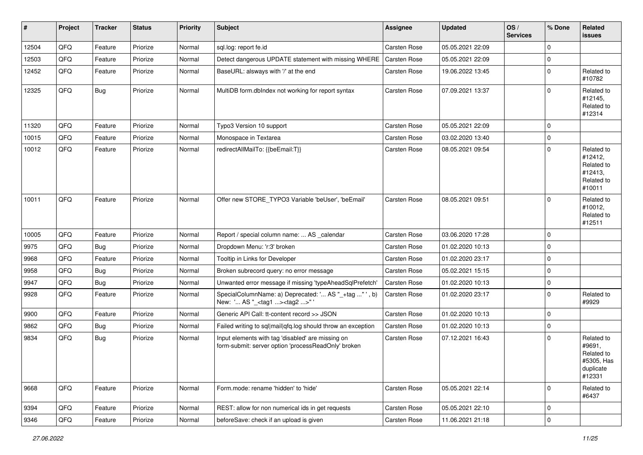| $\sharp$ | Project        | <b>Tracker</b> | <b>Status</b> | <b>Priority</b> | <b>Subject</b>                                                                                           | <b>Assignee</b>     | <b>Updated</b>   | OS/<br><b>Services</b> | % Done      | Related<br>issues                                                       |
|----------|----------------|----------------|---------------|-----------------|----------------------------------------------------------------------------------------------------------|---------------------|------------------|------------------------|-------------|-------------------------------------------------------------------------|
| 12504    | QFQ            | Feature        | Priorize      | Normal          | sql.log: report fe.id                                                                                    | Carsten Rose        | 05.05.2021 22:09 |                        | $\Omega$    |                                                                         |
| 12503    | QFQ            | Feature        | Priorize      | Normal          | Detect dangerous UPDATE statement with missing WHERE   Carsten Rose                                      |                     | 05.05.2021 22:09 |                        | $\mathbf 0$ |                                                                         |
| 12452    | QFQ            | Feature        | Priorize      | Normal          | BaseURL: alsways with '/' at the end                                                                     | Carsten Rose        | 19.06.2022 13:45 |                        | $\Omega$    | Related to<br>#10782                                                    |
| 12325    | QFQ            | <b>Bug</b>     | Priorize      | Normal          | MultiDB form.dblndex not working for report syntax                                                       | <b>Carsten Rose</b> | 07.09.2021 13:37 |                        | $\Omega$    | Related to<br>#12145,<br>Related to<br>#12314                           |
| 11320    | QFQ            | Feature        | Priorize      | Normal          | Typo3 Version 10 support                                                                                 | Carsten Rose        | 05.05.2021 22:09 |                        | $\Omega$    |                                                                         |
| 10015    | QFQ            | Feature        | Priorize      | Normal          | Monospace in Textarea                                                                                    | Carsten Rose        | 03.02.2020 13:40 |                        | $\mathbf 0$ |                                                                         |
| 10012    | QFQ            | Feature        | Priorize      | Normal          | redirectAllMailTo: {{beEmail:T}}                                                                         | Carsten Rose        | 08.05.2021 09:54 |                        | $\Omega$    | Related to<br>#12412,<br>Related to<br>#12413,<br>Related to<br>#10011  |
| 10011    | QFQ            | Feature        | Priorize      | Normal          | Offer new STORE_TYPO3 Variable 'beUser', 'beEmail'                                                       | Carsten Rose        | 08.05.2021 09:51 |                        | $\Omega$    | Related to<br>#10012,<br>Related to<br>#12511                           |
| 10005    | QFQ            | Feature        | Priorize      | Normal          | Report / special column name:  AS _calendar                                                              | Carsten Rose        | 03.06.2020 17:28 |                        | $\mathbf 0$ |                                                                         |
| 9975     | QFQ            | Bug            | Priorize      | Normal          | Dropdown Menu: 'r:3' broken                                                                              | Carsten Rose        | 01.02.2020 10:13 |                        | $\Omega$    |                                                                         |
| 9968     | QFQ            | Feature        | Priorize      | Normal          | Tooltip in Links for Developer                                                                           | Carsten Rose        | 01.02.2020 23:17 |                        | $\Omega$    |                                                                         |
| 9958     | QFQ            | Bug            | Priorize      | Normal          | Broken subrecord query: no error message                                                                 | Carsten Rose        | 05.02.2021 15:15 |                        | 0           |                                                                         |
| 9947     | QFQ            | Bug            | Priorize      | Normal          | Unwanted error message if missing 'typeAheadSqlPrefetch'                                                 | Carsten Rose        | 01.02.2020 10:13 |                        | $\Omega$    |                                                                         |
| 9928     | QFQ            | Feature        | Priorize      | Normal          | SpecialColumnName: a) Deprecated: ' AS "_+tag "', b)<br>New: ' AS "_ <tag1><tag2>"'</tag2></tag1>        | <b>Carsten Rose</b> | 01.02.2020 23:17 |                        | $\Omega$    | Related to<br>#9929                                                     |
| 9900     | QFQ            | Feature        | Priorize      | Normal          | Generic API Call: tt-content record >> JSON                                                              | Carsten Rose        | 01.02.2020 10:13 |                        | $\Omega$    |                                                                         |
| 9862     | QFQ            | Bug            | Priorize      | Normal          | Failed writing to sql mail qfq.log should throw an exception                                             | <b>Carsten Rose</b> | 01.02.2020 10:13 |                        | $\Omega$    |                                                                         |
| 9834     | QFQ            | Bug            | Priorize      | Normal          | Input elements with tag 'disabled' are missing on<br>form-submit: server option 'processReadOnly' broken | Carsten Rose        | 07.12.2021 16:43 |                        | $\Omega$    | Related to<br>#9691,<br>Related to<br>#5305, Has<br>duplicate<br>#12331 |
| 9668     | QFQ            | Feature        | Priorize      | Normal          | Form.mode: rename 'hidden' to 'hide'                                                                     | Carsten Rose        | 05.05.2021 22:14 |                        | $\mathbf 0$ | Related to<br>#6437                                                     |
| 9394     | QFQ            | Feature        | Priorize      | Normal          | REST: allow for non numerical ids in get requests                                                        | Carsten Rose        | 05.05.2021 22:10 |                        | 0           |                                                                         |
| 9346     | $\mathsf{QFQ}$ | Feature        | Priorize      | Normal          | beforeSave: check if an upload is given                                                                  | Carsten Rose        | 11.06.2021 21:18 |                        | $\pmb{0}$   |                                                                         |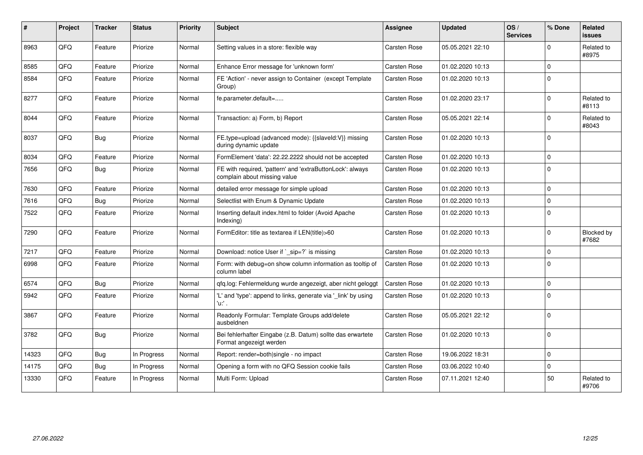| #     | Project | <b>Tracker</b> | <b>Status</b> | <b>Priority</b> | <b>Subject</b>                                                                            | <b>Assignee</b>     | <b>Updated</b>   | OS/<br><b>Services</b> | % Done      | Related<br><b>issues</b> |
|-------|---------|----------------|---------------|-----------------|-------------------------------------------------------------------------------------------|---------------------|------------------|------------------------|-------------|--------------------------|
| 8963  | QFQ     | Feature        | Priorize      | Normal          | Setting values in a store: flexible way                                                   | <b>Carsten Rose</b> | 05.05.2021 22:10 |                        | $\Omega$    | Related to<br>#8975      |
| 8585  | QFQ     | Feature        | Priorize      | Normal          | Enhance Error message for 'unknown form'                                                  | <b>Carsten Rose</b> | 01.02.2020 10:13 |                        | $\mathbf 0$ |                          |
| 8584  | QFQ     | Feature        | Priorize      | Normal          | FE 'Action' - never assign to Container (except Template<br>Group)                        | Carsten Rose        | 01.02.2020 10:13 |                        | $\mathbf 0$ |                          |
| 8277  | QFQ     | Feature        | Priorize      | Normal          | fe.parameter.default=                                                                     | Carsten Rose        | 01.02.2020 23:17 |                        | $\mathbf 0$ | Related to<br>#8113      |
| 8044  | QFQ     | Feature        | Priorize      | Normal          | Transaction: a) Form, b) Report                                                           | Carsten Rose        | 05.05.2021 22:14 |                        | $\pmb{0}$   | Related to<br>#8043      |
| 8037  | QFQ     | <b>Bug</b>     | Priorize      | Normal          | FE.type=upload (advanced mode): {{slaveId:V}} missing<br>during dynamic update            | <b>Carsten Rose</b> | 01.02.2020 10:13 |                        | $\mathbf 0$ |                          |
| 8034  | QFQ     | Feature        | Priorize      | Normal          | FormElement 'data': 22.22.2222 should not be accepted                                     | Carsten Rose        | 01.02.2020 10:13 |                        | $\mathbf 0$ |                          |
| 7656  | QFQ     | Bug            | Priorize      | Normal          | FE with required, 'pattern' and 'extraButtonLock': always<br>complain about missing value | Carsten Rose        | 01.02.2020 10:13 |                        | $\Omega$    |                          |
| 7630  | QFQ     | Feature        | Priorize      | Normal          | detailed error message for simple upload                                                  | Carsten Rose        | 01.02.2020 10:13 |                        | $\mathbf 0$ |                          |
| 7616  | QFQ     | Bug            | Priorize      | Normal          | Selectlist with Enum & Dynamic Update                                                     | Carsten Rose        | 01.02.2020 10:13 |                        | $\mathbf 0$ |                          |
| 7522  | QFQ     | Feature        | Priorize      | Normal          | Inserting default index.html to folder (Avoid Apache<br>Indexing)                         | Carsten Rose        | 01.02.2020 10:13 |                        | $\mathbf 0$ |                          |
| 7290  | QFQ     | Feature        | Priorize      | Normal          | FormEditor: title as textarea if LEN(title)>60                                            | Carsten Rose        | 01.02.2020 10:13 |                        | $\mathbf 0$ | Blocked by<br>#7682      |
| 7217  | QFQ     | Feature        | Priorize      | Normal          | Download: notice User if `_sip=?` is missing                                              | Carsten Rose        | 01.02.2020 10:13 |                        | $\pmb{0}$   |                          |
| 6998  | QFQ     | Feature        | Priorize      | Normal          | Form: with debug=on show column information as tooltip of<br>column label                 | Carsten Rose        | 01.02.2020 10:13 |                        | $\mathbf 0$ |                          |
| 6574  | QFQ     | Bug            | Priorize      | Normal          | qfq.log: Fehlermeldung wurde angezeigt, aber nicht geloggt                                | Carsten Rose        | 01.02.2020 10:13 |                        | $\mathbf 0$ |                          |
| 5942  | QFQ     | Feature        | Priorize      | Normal          | 'L' and 'type': append to links, generate via '_link' by using<br>'u:' .                  | Carsten Rose        | 01.02.2020 10:13 |                        | $\Omega$    |                          |
| 3867  | QFQ     | Feature        | Priorize      | Normal          | Readonly Formular: Template Groups add/delete<br>ausbeldnen                               | Carsten Rose        | 05.05.2021 22:12 |                        | $\Omega$    |                          |
| 3782  | QFQ     | Bug            | Priorize      | Normal          | Bei fehlerhafter Eingabe (z.B. Datum) sollte das erwartete<br>Format angezeigt werden     | <b>Carsten Rose</b> | 01.02.2020 10:13 |                        | $\Omega$    |                          |
| 14323 | QFQ     | Bug            | In Progress   | Normal          | Report: render=both single - no impact                                                    | Carsten Rose        | 19.06.2022 18:31 |                        | $\pmb{0}$   |                          |
| 14175 | QFQ     | <b>Bug</b>     | In Progress   | Normal          | Opening a form with no QFQ Session cookie fails                                           | Carsten Rose        | 03.06.2022 10:40 |                        | $\pmb{0}$   |                          |
| 13330 | QFQ     | Feature        | In Progress   | Normal          | Multi Form: Upload                                                                        | Carsten Rose        | 07.11.2021 12:40 |                        | 50          | Related to<br>#9706      |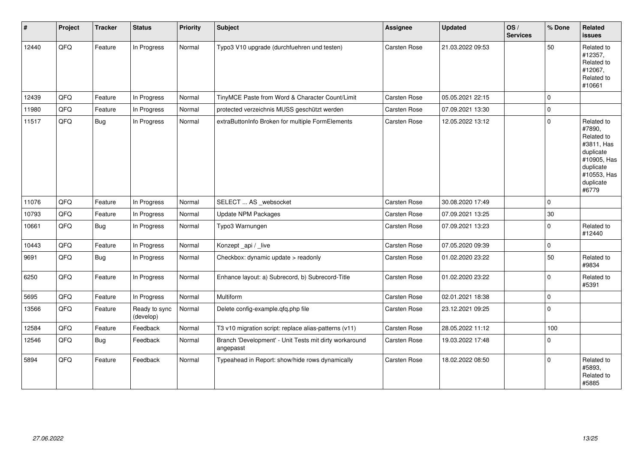| $\vert$ # | Project | <b>Tracker</b> | <b>Status</b>              | <b>Priority</b> | <b>Subject</b>                                                      | Assignee            | <b>Updated</b>   | OS/<br><b>Services</b> | % Done      | Related<br><b>issues</b>                                                                                                       |
|-----------|---------|----------------|----------------------------|-----------------|---------------------------------------------------------------------|---------------------|------------------|------------------------|-------------|--------------------------------------------------------------------------------------------------------------------------------|
| 12440     | QFQ     | Feature        | In Progress                | Normal          | Typo3 V10 upgrade (durchfuehren und testen)                         | <b>Carsten Rose</b> | 21.03.2022 09:53 |                        | 50          | Related to<br>#12357,<br>Related to<br>#12067,<br>Related to<br>#10661                                                         |
| 12439     | QFQ     | Feature        | In Progress                | Normal          | TinyMCE Paste from Word & Character Count/Limit                     | <b>Carsten Rose</b> | 05.05.2021 22:15 |                        | $\mathbf 0$ |                                                                                                                                |
| 11980     | QFQ     | Feature        | In Progress                | Normal          | protected verzeichnis MUSS geschützt werden                         | Carsten Rose        | 07.09.2021 13:30 |                        | $\pmb{0}$   |                                                                                                                                |
| 11517     | QFQ     | Bug            | In Progress                | Normal          | extraButtonInfo Broken for multiple FormElements                    | Carsten Rose        | 12.05.2022 13:12 |                        | $\pmb{0}$   | Related to<br>#7890,<br>Related to<br>#3811, Has<br>duplicate<br>#10905, Has<br>duplicate<br>#10553, Has<br>duplicate<br>#6779 |
| 11076     | QFQ     | Feature        | In Progress                | Normal          | SELECT  AS _websocket                                               | <b>Carsten Rose</b> | 30.08.2020 17:49 |                        | $\mathbf 0$ |                                                                                                                                |
| 10793     | QFQ     | Feature        | In Progress                | Normal          | Update NPM Packages                                                 | Carsten Rose        | 07.09.2021 13:25 |                        | $30\,$      |                                                                                                                                |
| 10661     | QFQ     | <b>Bug</b>     | In Progress                | Normal          | Typo3 Warnungen                                                     | Carsten Rose        | 07.09.2021 13:23 |                        | $\mathbf 0$ | Related to<br>#12440                                                                                                           |
| 10443     | QFQ     | Feature        | In Progress                | Normal          | Konzept_api / _live                                                 | <b>Carsten Rose</b> | 07.05.2020 09:39 |                        | $\pmb{0}$   |                                                                                                                                |
| 9691      | QFQ     | <b>Bug</b>     | In Progress                | Normal          | Checkbox: dynamic update > readonly                                 | Carsten Rose        | 01.02.2020 23:22 |                        | 50          | Related to<br>#9834                                                                                                            |
| 6250      | QFQ     | Feature        | In Progress                | Normal          | Enhance layout: a) Subrecord, b) Subrecord-Title                    | Carsten Rose        | 01.02.2020 23:22 |                        | $\mathbf 0$ | Related to<br>#5391                                                                                                            |
| 5695      | QFQ     | Feature        | In Progress                | Normal          | <b>Multiform</b>                                                    | Carsten Rose        | 02.01.2021 18:38 |                        | $\pmb{0}$   |                                                                                                                                |
| 13566     | QFQ     | Feature        | Ready to sync<br>(develop) | Normal          | Delete config-example.qfq.php file                                  | Carsten Rose        | 23.12.2021 09:25 |                        | $\mathbf 0$ |                                                                                                                                |
| 12584     | QFQ     | Feature        | Feedback                   | Normal          | T3 v10 migration script: replace alias-patterns (v11)               | Carsten Rose        | 28.05.2022 11:12 |                        | 100         |                                                                                                                                |
| 12546     | QFQ     | <b>Bug</b>     | Feedback                   | Normal          | Branch 'Development' - Unit Tests mit dirty workaround<br>angepasst | Carsten Rose        | 19.03.2022 17:48 |                        | $\pmb{0}$   |                                                                                                                                |
| 5894      | QFQ     | Feature        | Feedback                   | Normal          | Typeahead in Report: show/hide rows dynamically                     | <b>Carsten Rose</b> | 18.02.2022 08:50 |                        | $\mathbf 0$ | Related to<br>#5893.<br>Related to<br>#5885                                                                                    |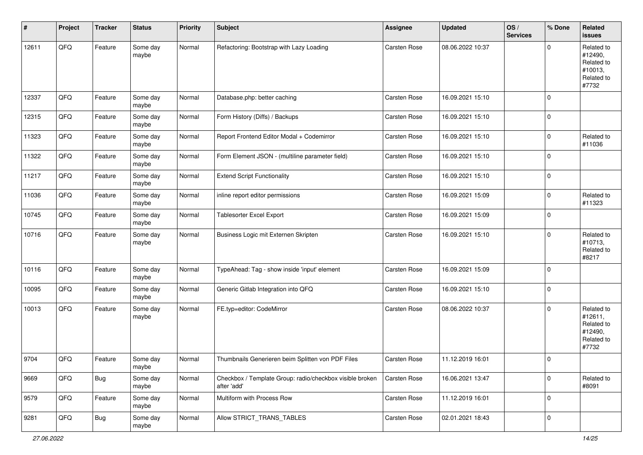| #     | Project | <b>Tracker</b> | <b>Status</b>     | <b>Priority</b> | <b>Subject</b>                                                          | Assignee     | <b>Updated</b>   | OS/<br><b>Services</b> | % Done      | Related<br><b>issues</b>                                              |
|-------|---------|----------------|-------------------|-----------------|-------------------------------------------------------------------------|--------------|------------------|------------------------|-------------|-----------------------------------------------------------------------|
| 12611 | QFQ     | Feature        | Some day<br>maybe | Normal          | Refactoring: Bootstrap with Lazy Loading                                | Carsten Rose | 08.06.2022 10:37 |                        | $\mathbf 0$ | Related to<br>#12490,<br>Related to<br>#10013,<br>Related to<br>#7732 |
| 12337 | QFQ     | Feature        | Some day<br>maybe | Normal          | Database.php: better caching                                            | Carsten Rose | 16.09.2021 15:10 |                        | $\mathbf 0$ |                                                                       |
| 12315 | QFQ     | Feature        | Some day<br>maybe | Normal          | Form History (Diffs) / Backups                                          | Carsten Rose | 16.09.2021 15:10 |                        | $\mathbf 0$ |                                                                       |
| 11323 | QFQ     | Feature        | Some day<br>maybe | Normal          | Report Frontend Editor Modal + Codemirror                               | Carsten Rose | 16.09.2021 15:10 |                        | $\mathbf 0$ | Related to<br>#11036                                                  |
| 11322 | QFQ     | Feature        | Some day<br>maybe | Normal          | Form Element JSON - (multiline parameter field)                         | Carsten Rose | 16.09.2021 15:10 |                        | $\mathbf 0$ |                                                                       |
| 11217 | QFQ     | Feature        | Some day<br>maybe | Normal          | <b>Extend Script Functionality</b>                                      | Carsten Rose | 16.09.2021 15:10 |                        | $\pmb{0}$   |                                                                       |
| 11036 | QFQ     | Feature        | Some day<br>maybe | Normal          | inline report editor permissions                                        | Carsten Rose | 16.09.2021 15:09 |                        | $\mathbf 0$ | Related to<br>#11323                                                  |
| 10745 | QFQ     | Feature        | Some day<br>maybe | Normal          | <b>Tablesorter Excel Export</b>                                         | Carsten Rose | 16.09.2021 15:09 |                        | $\mathbf 0$ |                                                                       |
| 10716 | QFQ     | Feature        | Some day<br>maybe | Normal          | Business Logic mit Externen Skripten                                    | Carsten Rose | 16.09.2021 15:10 |                        | $\mathbf 0$ | Related to<br>#10713,<br>Related to<br>#8217                          |
| 10116 | QFQ     | Feature        | Some day<br>maybe | Normal          | TypeAhead: Tag - show inside 'input' element                            | Carsten Rose | 16.09.2021 15:09 |                        | $\mathbf 0$ |                                                                       |
| 10095 | QFQ     | Feature        | Some day<br>maybe | Normal          | Generic Gitlab Integration into QFQ                                     | Carsten Rose | 16.09.2021 15:10 |                        | $\mathbf 0$ |                                                                       |
| 10013 | QFQ     | Feature        | Some day<br>maybe | Normal          | FE.typ=editor: CodeMirror                                               | Carsten Rose | 08.06.2022 10:37 |                        | $\mathbf 0$ | Related to<br>#12611,<br>Related to<br>#12490,<br>Related to<br>#7732 |
| 9704  | QFQ     | Feature        | Some day<br>maybe | Normal          | Thumbnails Generieren beim Splitten von PDF Files                       | Carsten Rose | 11.12.2019 16:01 |                        | $\mathbf 0$ |                                                                       |
| 9669  | QFQ     | Bug            | Some day<br>maybe | Normal          | Checkbox / Template Group: radio/checkbox visible broken<br>after 'add' | Carsten Rose | 16.06.2021 13:47 |                        | $\pmb{0}$   | Related to<br>#8091                                                   |
| 9579  | QFQ     | Feature        | Some day<br>maybe | Normal          | Multiform with Process Row                                              | Carsten Rose | 11.12.2019 16:01 |                        | $\mathbf 0$ |                                                                       |
| 9281  | QFQ     | Bug            | Some day<br>maybe | Normal          | Allow STRICT TRANS TABLES                                               | Carsten Rose | 02.01.2021 18:43 |                        | $\pmb{0}$   |                                                                       |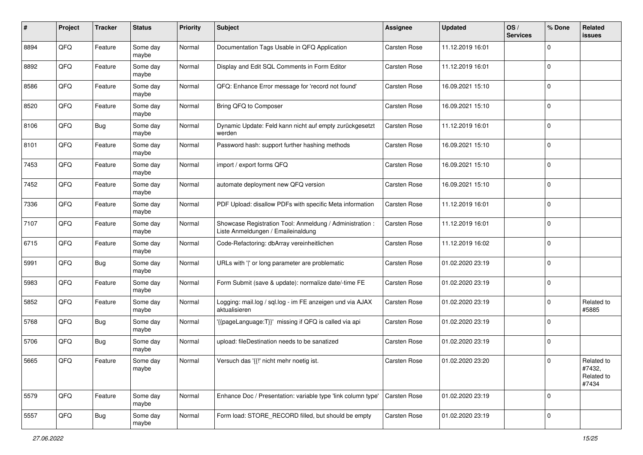| $\#$ | Project | <b>Tracker</b> | <b>Status</b>     | <b>Priority</b> | <b>Subject</b>                                                                                 | <b>Assignee</b>     | <b>Updated</b>   | OS/<br><b>Services</b> | % Done       | Related<br><b>issues</b>                    |
|------|---------|----------------|-------------------|-----------------|------------------------------------------------------------------------------------------------|---------------------|------------------|------------------------|--------------|---------------------------------------------|
| 8894 | QFQ     | Feature        | Some day<br>maybe | Normal          | Documentation Tags Usable in QFQ Application                                                   | Carsten Rose        | 11.12.2019 16:01 |                        | $\mathbf 0$  |                                             |
| 8892 | QFQ     | Feature        | Some day<br>maybe | Normal          | Display and Edit SQL Comments in Form Editor                                                   | Carsten Rose        | 11.12.2019 16:01 |                        | $\mathbf 0$  |                                             |
| 8586 | QFQ     | Feature        | Some day<br>maybe | Normal          | QFQ: Enhance Error message for 'record not found'                                              | Carsten Rose        | 16.09.2021 15:10 |                        | $\mathbf 0$  |                                             |
| 8520 | QFQ     | Feature        | Some day<br>maybe | Normal          | Bring QFQ to Composer                                                                          | Carsten Rose        | 16.09.2021 15:10 |                        | $\mathbf 0$  |                                             |
| 8106 | QFQ     | Bug            | Some day<br>maybe | Normal          | Dynamic Update: Feld kann nicht auf empty zurückgesetzt<br>werden                              | Carsten Rose        | 11.12.2019 16:01 |                        | $\mathbf 0$  |                                             |
| 8101 | QFQ     | Feature        | Some day<br>maybe | Normal          | Password hash: support further hashing methods                                                 | <b>Carsten Rose</b> | 16.09.2021 15:10 |                        | $\mathbf 0$  |                                             |
| 7453 | QFQ     | Feature        | Some day<br>maybe | Normal          | import / export forms QFQ                                                                      | <b>Carsten Rose</b> | 16.09.2021 15:10 |                        | $\mathbf 0$  |                                             |
| 7452 | QFQ     | Feature        | Some day<br>maybe | Normal          | automate deployment new QFQ version                                                            | <b>Carsten Rose</b> | 16.09.2021 15:10 |                        | $\mathbf 0$  |                                             |
| 7336 | QFQ     | Feature        | Some day<br>maybe | Normal          | PDF Upload: disallow PDFs with specific Meta information                                       | <b>Carsten Rose</b> | 11.12.2019 16:01 |                        | $\mathbf 0$  |                                             |
| 7107 | QFQ     | Feature        | Some day<br>maybe | Normal          | Showcase Registration Tool: Anmeldung / Administration :<br>Liste Anmeldungen / Emaileinaldung | <b>Carsten Rose</b> | 11.12.2019 16:01 |                        | $\mathbf 0$  |                                             |
| 6715 | QFQ     | Feature        | Some day<br>maybe | Normal          | Code-Refactoring: dbArray vereinheitlichen                                                     | <b>Carsten Rose</b> | 11.12.2019 16:02 |                        | $\mathbf 0$  |                                             |
| 5991 | QFQ     | Bug            | Some day<br>maybe | Normal          | URLs with ' ' or long parameter are problematic                                                | Carsten Rose        | 01.02.2020 23:19 |                        | $\mathbf 0$  |                                             |
| 5983 | QFQ     | Feature        | Some day<br>maybe | Normal          | Form Submit (save & update): normalize date/-time FE                                           | Carsten Rose        | 01.02.2020 23:19 |                        | $\mathbf 0$  |                                             |
| 5852 | QFQ     | Feature        | Some day<br>maybe | Normal          | Logging: mail.log / sql.log - im FE anzeigen und via AJAX<br>aktualisieren                     | <b>Carsten Rose</b> | 01.02.2020 23:19 |                        | 0            | Related to<br>#5885                         |
| 5768 | QFQ     | <b>Bug</b>     | Some day<br>maybe | Normal          | '{{pageLanguage:T}}' missing if QFQ is called via api                                          | <b>Carsten Rose</b> | 01.02.2020 23:19 |                        | $\mathbf 0$  |                                             |
| 5706 | QFQ     | Bug            | Some day<br>maybe | Normal          | upload: fileDestination needs to be sanatized                                                  | <b>Carsten Rose</b> | 01.02.2020 23:19 |                        | $\mathbf 0$  |                                             |
| 5665 | QFQ     | Feature        | Some day<br>maybe | Normal          | Versuch das '{{!' nicht mehr noetig ist.                                                       | <b>Carsten Rose</b> | 01.02.2020 23:20 |                        | $\mathbf{0}$ | Related to<br>#7432,<br>Related to<br>#7434 |
| 5579 | QFQ     | Feature        | Some day<br>maybe | Normal          | Enhance Doc / Presentation: variable type 'link column type'                                   | Carsten Rose        | 01.02.2020 23:19 |                        | $\mathbf 0$  |                                             |
| 5557 | QFQ     | <b>Bug</b>     | Some day<br>maybe | Normal          | Form load: STORE_RECORD filled, but should be empty                                            | Carsten Rose        | 01.02.2020 23:19 |                        | $\mathbf 0$  |                                             |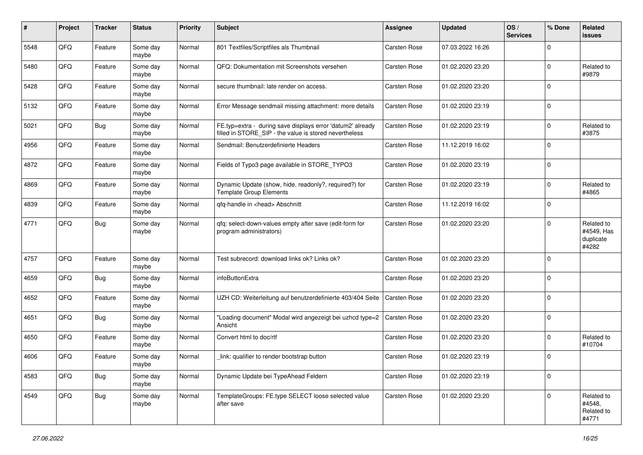| #    | Project | <b>Tracker</b> | <b>Status</b>     | <b>Priority</b> | <b>Subject</b>                                                                                                       | <b>Assignee</b>     | <b>Updated</b>   | OS/<br><b>Services</b> | % Done      | Related<br><b>issues</b>                       |
|------|---------|----------------|-------------------|-----------------|----------------------------------------------------------------------------------------------------------------------|---------------------|------------------|------------------------|-------------|------------------------------------------------|
| 5548 | QFQ     | Feature        | Some day<br>maybe | Normal          | 801 Textfiles/Scriptfiles als Thumbnail                                                                              | Carsten Rose        | 07.03.2022 16:26 |                        | $\Omega$    |                                                |
| 5480 | QFQ     | Feature        | Some day<br>maybe | Normal          | QFQ: Dokumentation mit Screenshots versehen                                                                          | <b>Carsten Rose</b> | 01.02.2020 23:20 |                        | $\mathbf 0$ | Related to<br>#9879                            |
| 5428 | QFQ     | Feature        | Some day<br>maybe | Normal          | secure thumbnail: late render on access.                                                                             | Carsten Rose        | 01.02.2020 23:20 |                        | $\mathbf 0$ |                                                |
| 5132 | QFQ     | Feature        | Some day<br>maybe | Normal          | Error Message sendmail missing attachment: more details                                                              | Carsten Rose        | 01.02.2020 23:19 |                        | $\mathbf 0$ |                                                |
| 5021 | QFQ     | <b>Bug</b>     | Some day<br>maybe | Normal          | FE.typ=extra - during save displays error 'datum2' already<br>filled in STORE_SIP - the value is stored nevertheless | Carsten Rose        | 01.02.2020 23:19 |                        | $\mathbf 0$ | Related to<br>#3875                            |
| 4956 | QFQ     | Feature        | Some day<br>maybe | Normal          | Sendmail: Benutzerdefinierte Headers                                                                                 | Carsten Rose        | 11.12.2019 16:02 |                        | $\mathbf 0$ |                                                |
| 4872 | QFQ     | Feature        | Some day<br>maybe | Normal          | Fields of Typo3 page available in STORE_TYPO3                                                                        | Carsten Rose        | 01.02.2020 23:19 |                        | $\mathbf 0$ |                                                |
| 4869 | QFQ     | Feature        | Some day<br>maybe | Normal          | Dynamic Update (show, hide, readonly?, required?) for<br><b>Template Group Elements</b>                              | Carsten Rose        | 01.02.2020 23:19 |                        | $\mathbf 0$ | Related to<br>#4865                            |
| 4839 | QFQ     | Feature        | Some day<br>maybe | Normal          | qfq-handle in <head> Abschnitt</head>                                                                                | Carsten Rose        | 11.12.2019 16:02 |                        | $\mathbf 0$ |                                                |
| 4771 | QFQ     | Bug            | Some day<br>maybe | Normal          | qfq: select-down-values empty after save (edit-form for<br>program administrators)                                   | Carsten Rose        | 01.02.2020 23:20 |                        | $\mathbf 0$ | Related to<br>#4549, Has<br>duplicate<br>#4282 |
| 4757 | QFQ     | Feature        | Some day<br>maybe | Normal          | Test subrecord: download links ok? Links ok?                                                                         | <b>Carsten Rose</b> | 01.02.2020 23:20 |                        | $\mathbf 0$ |                                                |
| 4659 | QFQ     | <b>Bug</b>     | Some day<br>maybe | Normal          | infoButtonExtra                                                                                                      | Carsten Rose        | 01.02.2020 23:20 |                        | $\mathbf 0$ |                                                |
| 4652 | QFQ     | Feature        | Some day<br>maybe | Normal          | UZH CD: Weiterleitung auf benutzerdefinierte 403/404 Seite                                                           | Carsten Rose        | 01.02.2020 23:20 |                        | $\mathbf 0$ |                                                |
| 4651 | QFQ     | <b>Bug</b>     | Some day<br>maybe | Normal          | 'Loading document" Modal wird angezeigt bei uzhcd type=2<br>Ansicht                                                  | Carsten Rose        | 01.02.2020 23:20 |                        | $\mathbf 0$ |                                                |
| 4650 | QFQ     | Feature        | Some day<br>maybe | Normal          | Convert html to doc/rtf                                                                                              | Carsten Rose        | 01.02.2020 23:20 |                        | $\mathbf 0$ | Related to<br>#10704                           |
| 4606 | QFQ     | Feature        | Some day<br>maybe | Normal          | link: qualifier to render bootstrap button                                                                           | Carsten Rose        | 01.02.2020 23:19 |                        | $\mathbf 0$ |                                                |
| 4583 | QFQ     | <b>Bug</b>     | Some day<br>maybe | Normal          | Dynamic Update bei TypeAhead Feldern                                                                                 | Carsten Rose        | 01.02.2020 23:19 |                        | $\mathbf 0$ |                                                |
| 4549 | QFQ     | <b>Bug</b>     | Some day<br>maybe | Normal          | TemplateGroups: FE.type SELECT loose selected value<br>after save                                                    | Carsten Rose        | 01.02.2020 23:20 |                        | $\mathbf 0$ | Related to<br>#4548,<br>Related to<br>#4771    |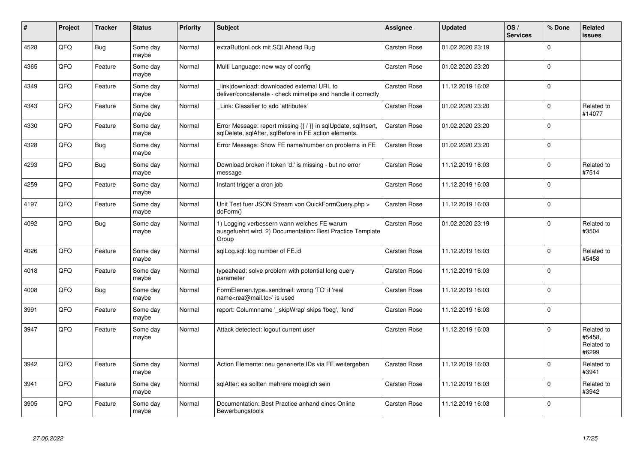| #    | Project | <b>Tracker</b> | <b>Status</b>     | <b>Priority</b> | <b>Subject</b>                                                                                                          | <b>Assignee</b>     | <b>Updated</b>   | OS/<br><b>Services</b> | % Done   | <b>Related</b><br><b>issues</b>             |
|------|---------|----------------|-------------------|-----------------|-------------------------------------------------------------------------------------------------------------------------|---------------------|------------------|------------------------|----------|---------------------------------------------|
| 4528 | QFQ     | <b>Bug</b>     | Some day<br>maybe | Normal          | extraButtonLock mit SQLAhead Bug                                                                                        | Carsten Rose        | 01.02.2020 23:19 |                        | $\Omega$ |                                             |
| 4365 | QFQ     | Feature        | Some day<br>maybe | Normal          | Multi Language: new way of config                                                                                       | Carsten Rose        | 01.02.2020 23:20 |                        | $\Omega$ |                                             |
| 4349 | QFQ     | Feature        | Some day<br>maybe | Normal          | link download: downloaded external URL to<br>deliver/concatenate - check mimetipe and handle it correctly               | Carsten Rose        | 11.12.2019 16:02 |                        | $\Omega$ |                                             |
| 4343 | QFQ     | Feature        | Some day<br>maybe | Normal          | Link: Classifier to add 'attributes'                                                                                    | Carsten Rose        | 01.02.2020 23:20 |                        | $\Omega$ | Related to<br>#14077                        |
| 4330 | QFQ     | Feature        | Some day<br>maybe | Normal          | Error Message: report missing {{ / }} in sqlUpdate, sqlInsert,<br>sqlDelete, sqlAfter, sqlBefore in FE action elements. | Carsten Rose        | 01.02.2020 23:20 |                        | $\Omega$ |                                             |
| 4328 | QFQ     | Bug            | Some day<br>maybe | Normal          | Error Message: Show FE name/number on problems in FE                                                                    | <b>Carsten Rose</b> | 01.02.2020 23:20 |                        | $\Omega$ |                                             |
| 4293 | QFQ     | <b>Bug</b>     | Some day<br>maybe | Normal          | Download broken if token 'd:' is missing - but no error<br>message                                                      | <b>Carsten Rose</b> | 11.12.2019 16:03 |                        | $\Omega$ | Related to<br>#7514                         |
| 4259 | QFQ     | Feature        | Some day<br>maybe | Normal          | Instant trigger a cron job                                                                                              | <b>Carsten Rose</b> | 11.12.2019 16:03 |                        | $\Omega$ |                                             |
| 4197 | QFQ     | Feature        | Some day<br>maybe | Normal          | Unit Test fuer JSON Stream von QuickFormQuery.php ><br>doForm()                                                         | Carsten Rose        | 11.12.2019 16:03 |                        | $\Omega$ |                                             |
| 4092 | QFQ     | Bug            | Some day<br>maybe | Normal          | 1) Logging verbessern wann welches FE warum<br>ausgefuehrt wird, 2) Documentation: Best Practice Template<br>Group      | Carsten Rose        | 01.02.2020 23:19 |                        | $\Omega$ | Related to<br>#3504                         |
| 4026 | QFQ     | Feature        | Some day<br>maybe | Normal          | sqlLog.sql: log number of FE.id                                                                                         | <b>Carsten Rose</b> | 11.12.2019 16:03 |                        | $\Omega$ | Related to<br>#5458                         |
| 4018 | QFQ     | Feature        | Some day<br>maybe | Normal          | typeahead: solve problem with potential long query<br>parameter                                                         | <b>Carsten Rose</b> | 11.12.2019 16:03 |                        | $\Omega$ |                                             |
| 4008 | QFQ     | Bug            | Some day<br>maybe | Normal          | FormElemen.type=sendmail: wrong 'TO' if 'real<br>name <rea@mail.to>' is used</rea@mail.to>                              | <b>Carsten Rose</b> | 11.12.2019 16:03 |                        | $\Omega$ |                                             |
| 3991 | QFQ     | Feature        | Some day<br>maybe | Normal          | report: Columnname ' skipWrap' skips 'fbeg', 'fend'                                                                     | Carsten Rose        | 11.12.2019 16:03 |                        | $\Omega$ |                                             |
| 3947 | QFQ     | Feature        | Some day<br>maybe | Normal          | Attack detectect: logout current user                                                                                   | <b>Carsten Rose</b> | 11.12.2019 16:03 |                        | $\Omega$ | Related to<br>#5458.<br>Related to<br>#6299 |
| 3942 | QFQ     | Feature        | Some day<br>maybe | Normal          | Action Elemente: neu generierte IDs via FE weitergeben                                                                  | <b>Carsten Rose</b> | 11.12.2019 16:03 |                        | $\Omega$ | Related to<br>#3941                         |
| 3941 | QFQ     | Feature        | Some day<br>maybe | Normal          | sqlAfter: es sollten mehrere moeglich sein                                                                              | Carsten Rose        | 11.12.2019 16:03 |                        | $\Omega$ | Related to<br>#3942                         |
| 3905 | QFQ     | Feature        | Some day<br>maybe | Normal          | Documentation: Best Practice anhand eines Online<br>Bewerbungstools                                                     | Carsten Rose        | 11.12.2019 16:03 |                        | $\Omega$ |                                             |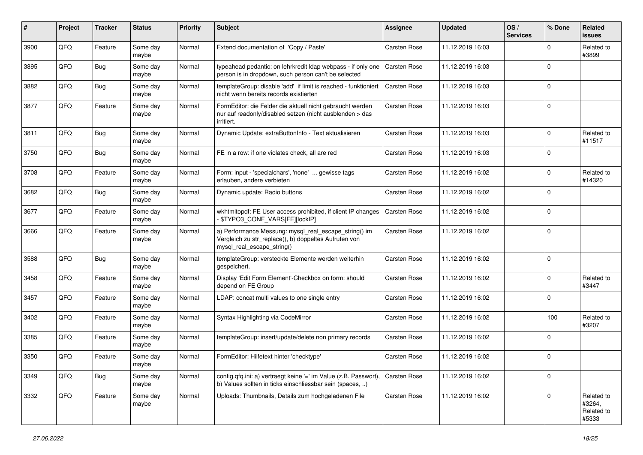| #    | Project | <b>Tracker</b> | <b>Status</b>     | <b>Priority</b> | Subject                                                                                                                                      | <b>Assignee</b>     | <b>Updated</b>   | OS/<br><b>Services</b> | % Done      | Related<br><b>issues</b>                    |
|------|---------|----------------|-------------------|-----------------|----------------------------------------------------------------------------------------------------------------------------------------------|---------------------|------------------|------------------------|-------------|---------------------------------------------|
| 3900 | QFQ     | Feature        | Some day<br>maybe | Normal          | Extend documentation of 'Copy / Paste'                                                                                                       | <b>Carsten Rose</b> | 11.12.2019 16:03 |                        | $\mathbf 0$ | Related to<br>#3899                         |
| 3895 | QFQ     | Bug            | Some day<br>maybe | Normal          | typeahead pedantic: on lehrkredit Idap webpass - if only one   Carsten Rose<br>person is in dropdown, such person can't be selected          |                     | 11.12.2019 16:03 |                        | $\mathbf 0$ |                                             |
| 3882 | QFQ     | Bug            | Some day<br>maybe | Normal          | templateGroup: disable 'add' if limit is reached - funktioniert<br>nicht wenn bereits records existierten                                    | Carsten Rose        | 11.12.2019 16:03 |                        | $\mathbf 0$ |                                             |
| 3877 | QFQ     | Feature        | Some day<br>maybe | Normal          | FormEditor: die Felder die aktuell nicht gebraucht werden<br>nur auf readonly/disabled setzen (nicht ausblenden > das<br>irritiert.          | Carsten Rose        | 11.12.2019 16:03 |                        | $\mathbf 0$ |                                             |
| 3811 | QFQ     | Bug            | Some day<br>maybe | Normal          | Dynamic Update: extraButtonInfo - Text aktualisieren                                                                                         | Carsten Rose        | 11.12.2019 16:03 |                        | $\mathbf 0$ | Related to<br>#11517                        |
| 3750 | QFQ     | Bug            | Some day<br>maybe | Normal          | FE in a row: if one violates check, all are red                                                                                              | Carsten Rose        | 11.12.2019 16:03 |                        | $\mathbf 0$ |                                             |
| 3708 | QFQ     | Feature        | Some day<br>maybe | Normal          | Form: input - 'specialchars', 'none'  gewisse tags<br>erlauben, andere verbieten                                                             | Carsten Rose        | 11.12.2019 16:02 |                        | $\mathbf 0$ | Related to<br>#14320                        |
| 3682 | QFQ     | <b>Bug</b>     | Some day<br>maybe | Normal          | Dynamic update: Radio buttons                                                                                                                | Carsten Rose        | 11.12.2019 16:02 |                        | $\mathbf 0$ |                                             |
| 3677 | QFQ     | Feature        | Some day<br>maybe | Normal          | wkhtmltopdf: FE User access prohibited, if client IP changes<br>\$TYPO3_CONF_VARS[FE][lockIP]                                                | Carsten Rose        | 11.12.2019 16:02 |                        | $\mathbf 0$ |                                             |
| 3666 | QFQ     | Feature        | Some day<br>maybe | Normal          | a) Performance Messung: mysql_real_escape_string() im<br>Vergleich zu str_replace(), b) doppeltes Aufrufen von<br>mysql real escape string() | Carsten Rose        | 11.12.2019 16:02 |                        | $\mathbf 0$ |                                             |
| 3588 | QFQ     | Bug            | Some day<br>maybe | Normal          | templateGroup: versteckte Elemente werden weiterhin<br>gespeichert.                                                                          | Carsten Rose        | 11.12.2019 16:02 |                        | $\mathbf 0$ |                                             |
| 3458 | QFQ     | Feature        | Some day<br>maybe | Normal          | Display 'Edit Form Element'-Checkbox on form: should<br>depend on FE Group                                                                   | Carsten Rose        | 11.12.2019 16:02 |                        | $\mathbf 0$ | Related to<br>#3447                         |
| 3457 | QFQ     | Feature        | Some day<br>maybe | Normal          | LDAP: concat multi values to one single entry                                                                                                | Carsten Rose        | 11.12.2019 16:02 |                        | $\mathbf 0$ |                                             |
| 3402 | QFQ     | Feature        | Some day<br>maybe | Normal          | Syntax Highlighting via CodeMirror                                                                                                           | Carsten Rose        | 11.12.2019 16:02 |                        | 100         | Related to<br>#3207                         |
| 3385 | QFQ     | Feature        | Some day<br>maybe | Normal          | templateGroup: insert/update/delete non primary records                                                                                      | Carsten Rose        | 11.12.2019 16:02 |                        | $\mathbf 0$ |                                             |
| 3350 | QFQ     | Feature        | Some day<br>maybe | Normal          | FormEditor: Hilfetext hinter 'checktype'                                                                                                     | Carsten Rose        | 11.12.2019 16:02 |                        | $\mathbf 0$ |                                             |
| 3349 | QFQ     | Bug            | Some day<br>maybe | Normal          | config.qfq.ini: a) vertraegt keine '=' im Value (z.B. Passwort),<br>b) Values sollten in ticks einschliessbar sein (spaces, )                | <b>Carsten Rose</b> | 11.12.2019 16:02 |                        | $\mathbf 0$ |                                             |
| 3332 | QFQ     | Feature        | Some day<br>maybe | Normal          | Uploads: Thumbnails, Details zum hochgeladenen File                                                                                          | Carsten Rose        | 11.12.2019 16:02 |                        | $\mathbf 0$ | Related to<br>#3264,<br>Related to<br>#5333 |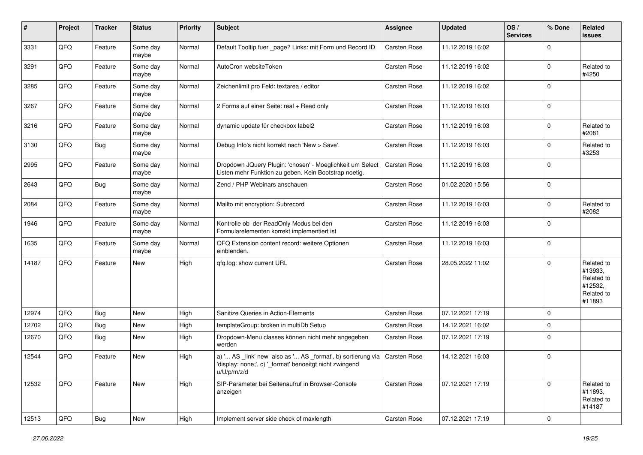| #     | Project | <b>Tracker</b> | <b>Status</b>     | <b>Priority</b> | <b>Subject</b>                                                                                                                                       | <b>Assignee</b>     | <b>Updated</b>   | OS/<br><b>Services</b> | % Done      | Related<br><b>issues</b>                                               |
|-------|---------|----------------|-------------------|-----------------|------------------------------------------------------------------------------------------------------------------------------------------------------|---------------------|------------------|------------------------|-------------|------------------------------------------------------------------------|
| 3331  | QFQ     | Feature        | Some day<br>maybe | Normal          | Default Tooltip fuer _page? Links: mit Form und Record ID                                                                                            | <b>Carsten Rose</b> | 11.12.2019 16:02 |                        | $\mathbf 0$ |                                                                        |
| 3291  | QFQ     | Feature        | Some day<br>maybe | Normal          | AutoCron websiteToken                                                                                                                                | Carsten Rose        | 11.12.2019 16:02 |                        | $\mathbf 0$ | Related to<br>#4250                                                    |
| 3285  | QFQ     | Feature        | Some day<br>maybe | Normal          | Zeichenlimit pro Feld: textarea / editor                                                                                                             | Carsten Rose        | 11.12.2019 16:02 |                        | $\mathbf 0$ |                                                                        |
| 3267  | QFQ     | Feature        | Some day<br>maybe | Normal          | 2 Forms auf einer Seite: real + Read only                                                                                                            | Carsten Rose        | 11.12.2019 16:03 |                        | $\mathbf 0$ |                                                                        |
| 3216  | QFQ     | Feature        | Some day<br>maybe | Normal          | dynamic update für checkbox label2                                                                                                                   | Carsten Rose        | 11.12.2019 16:03 |                        | $\mathbf 0$ | Related to<br>#2081                                                    |
| 3130  | QFQ     | <b>Bug</b>     | Some day<br>maybe | Normal          | Debug Info's nicht korrekt nach 'New > Save'.                                                                                                        | Carsten Rose        | 11.12.2019 16:03 |                        | $\mathbf 0$ | Related to<br>#3253                                                    |
| 2995  | QFQ     | Feature        | Some day<br>maybe | Normal          | Dropdown JQuery Plugin: 'chosen' - Moeglichkeit um Select<br>Listen mehr Funktion zu geben. Kein Bootstrap noetig.                                   | Carsten Rose        | 11.12.2019 16:03 |                        | $\mathbf 0$ |                                                                        |
| 2643  | QFQ     | Bug            | Some day<br>maybe | Normal          | Zend / PHP Webinars anschauen                                                                                                                        | Carsten Rose        | 01.02.2020 15:56 |                        | $\mathbf 0$ |                                                                        |
| 2084  | QFQ     | Feature        | Some day<br>maybe | Normal          | Mailto mit encryption: Subrecord                                                                                                                     | <b>Carsten Rose</b> | 11.12.2019 16:03 |                        | $\mathbf 0$ | Related to<br>#2082                                                    |
| 1946  | QFQ     | Feature        | Some day<br>maybe | Normal          | Kontrolle ob der ReadOnly Modus bei den<br>Formularelementen korrekt implementiert ist                                                               | Carsten Rose        | 11.12.2019 16:03 |                        | $\mathbf 0$ |                                                                        |
| 1635  | QFQ     | Feature        | Some day<br>maybe | Normal          | QFQ Extension content record: weitere Optionen<br>einblenden.                                                                                        | Carsten Rose        | 11.12.2019 16:03 |                        | $\mathbf 0$ |                                                                        |
| 14187 | QFQ     | Feature        | <b>New</b>        | High            | qfq.log: show current URL                                                                                                                            | Carsten Rose        | 28.05.2022 11:02 |                        | $\mathbf 0$ | Related to<br>#13933,<br>Related to<br>#12532,<br>Related to<br>#11893 |
| 12974 | QFQ     | <b>Bug</b>     | <b>New</b>        | High            | Sanitize Queries in Action-Elements                                                                                                                  | <b>Carsten Rose</b> | 07.12.2021 17:19 |                        | $\mathbf 0$ |                                                                        |
| 12702 | QFQ     | Bug            | New               | High            | templateGroup: broken in multiDb Setup                                                                                                               | Carsten Rose        | 14.12.2021 16:02 |                        | $\mathbf 0$ |                                                                        |
| 12670 | QFQ     | Bug            | New               | High            | Dropdown-Menu classes können nicht mehr angegeben<br>werden                                                                                          | Carsten Rose        | 07.12.2021 17:19 |                        | $\mathbf 0$ |                                                                        |
| 12544 | QFQ     | Feature        | <b>New</b>        | High            | a) ' AS _link' new also as ' AS _format', b) sortierung via   Carsten Rose<br>'display: none;', c) '_format' benoeitgt nicht zwingend<br>u/U/p/m/z/d |                     | 14.12.2021 16:03 |                        | $\mathbf 0$ |                                                                        |
| 12532 | QFQ     | Feature        | New               | High            | SIP-Parameter bei Seitenaufruf in Browser-Console<br>anzeigen                                                                                        | Carsten Rose        | 07.12.2021 17:19 |                        | $\mathbf 0$ | Related to<br>#11893,<br>Related to<br>#14187                          |
| 12513 | QFQ     | <b>Bug</b>     | New               | High            | Implement server side check of maxlength                                                                                                             | Carsten Rose        | 07.12.2021 17:19 |                        | $\pmb{0}$   |                                                                        |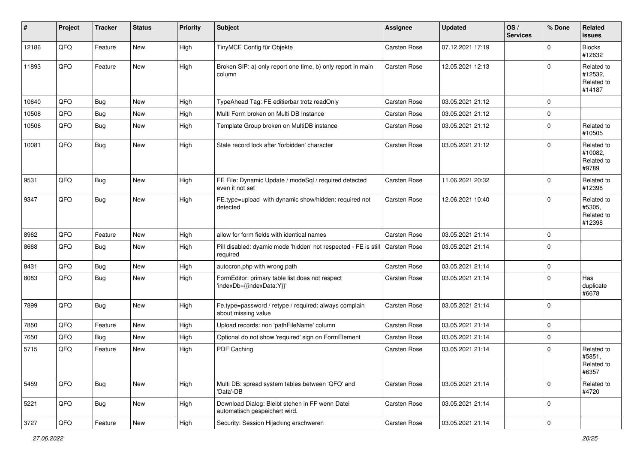| #     | Project | <b>Tracker</b> | <b>Status</b> | <b>Priority</b> | <b>Subject</b>                                                                   | <b>Assignee</b>     | <b>Updated</b>   | OS/<br><b>Services</b> | % Done      | Related<br>issues                             |
|-------|---------|----------------|---------------|-----------------|----------------------------------------------------------------------------------|---------------------|------------------|------------------------|-------------|-----------------------------------------------|
| 12186 | QFQ     | Feature        | New           | High            | TinyMCE Config für Objekte                                                       | <b>Carsten Rose</b> | 07.12.2021 17:19 |                        | $\mathbf 0$ | <b>Blocks</b><br>#12632                       |
| 11893 | QFQ     | Feature        | New           | High            | Broken SIP: a) only report one time, b) only report in main<br>column            | <b>Carsten Rose</b> | 12.05.2021 12:13 |                        | $\Omega$    | Related to<br>#12532,<br>Related to<br>#14187 |
| 10640 | QFQ     | <b>Bug</b>     | <b>New</b>    | High            | TypeAhead Tag: FE editierbar trotz readOnly                                      | <b>Carsten Rose</b> | 03.05.2021 21:12 |                        | $\mathbf 0$ |                                               |
| 10508 | QFQ     | <b>Bug</b>     | New           | High            | Multi Form broken on Multi DB Instance                                           | Carsten Rose        | 03.05.2021 21:12 |                        | $\mathbf 0$ |                                               |
| 10506 | QFQ     | Bug            | New           | High            | Template Group broken on MultiDB instance                                        | Carsten Rose        | 03.05.2021 21:12 |                        | $\Omega$    | Related to<br>#10505                          |
| 10081 | QFQ     | Bug            | New           | High            | Stale record lock after 'forbidden' character                                    | <b>Carsten Rose</b> | 03.05.2021 21:12 |                        | $\mathbf 0$ | Related to<br>#10082,<br>Related to<br>#9789  |
| 9531  | QFQ     | <b>Bug</b>     | New           | High            | FE File: Dynamic Update / modeSql / required detected<br>even it not set         | <b>Carsten Rose</b> | 11.06.2021 20:32 |                        | $\Omega$    | Related to<br>#12398                          |
| 9347  | QFQ     | Bug            | New           | High            | FE.type=upload with dynamic show/hidden: required not<br>detected                | <b>Carsten Rose</b> | 12.06.2021 10:40 |                        | 0           | Related to<br>#5305,<br>Related to<br>#12398  |
| 8962  | QFQ     | Feature        | <b>New</b>    | High            | allow for form fields with identical names                                       | <b>Carsten Rose</b> | 03.05.2021 21:14 |                        | 0           |                                               |
| 8668  | QFQ     | Bug            | New           | High            | Pill disabled: dyamic mode 'hidden' not respected - FE is still<br>required      | <b>Carsten Rose</b> | 03.05.2021 21:14 |                        | $\mathbf 0$ |                                               |
| 8431  | QFQ     | Bug            | New           | High            | autocron.php with wrong path                                                     | <b>Carsten Rose</b> | 03.05.2021 21:14 |                        | 0           |                                               |
| 8083  | QFQ     | Bug            | New           | High            | FormEditor: primary table list does not respect<br>'indexDb={{indexData:Y}}'     | Carsten Rose        | 03.05.2021 21:14 |                        | $\Omega$    | Has<br>duplicate<br>#6678                     |
| 7899  | QFQ     | Bug            | New           | High            | Fe.type=password / retype / required: always complain<br>about missing value     | Carsten Rose        | 03.05.2021 21:14 |                        | $\mathbf 0$ |                                               |
| 7850  | QFQ     | Feature        | <b>New</b>    | High            | Upload records: non 'pathFileName' column                                        | Carsten Rose        | 03.05.2021 21:14 |                        | $\mathbf 0$ |                                               |
| 7650  | QFQ     | Bug            | New           | High            | Optional do not show 'required' sign on FormElement                              | Carsten Rose        | 03.05.2021 21:14 |                        | $\mathbf 0$ |                                               |
| 5715  | QFQ     | Feature        | New           | High            | PDF Caching                                                                      | Carsten Rose        | 03.05.2021 21:14 |                        | $\Omega$    | Related to<br>#5851,<br>Related to<br>#6357   |
| 5459  | QFQ     | Bug            | New           | High            | Multi DB: spread system tables between 'QFQ' and<br>'Data'-DB                    | Carsten Rose        | 03.05.2021 21:14 |                        | $\pmb{0}$   | Related to<br>#4720                           |
| 5221  | QFQ     | Bug            | New           | High            | Download Dialog: Bleibt stehen in FF wenn Datei<br>automatisch gespeichert wird. | Carsten Rose        | 03.05.2021 21:14 |                        | 0           |                                               |
| 3727  | QFQ     | Feature        | New           | High            | Security: Session Hijacking erschweren                                           | Carsten Rose        | 03.05.2021 21:14 |                        | $\pmb{0}$   |                                               |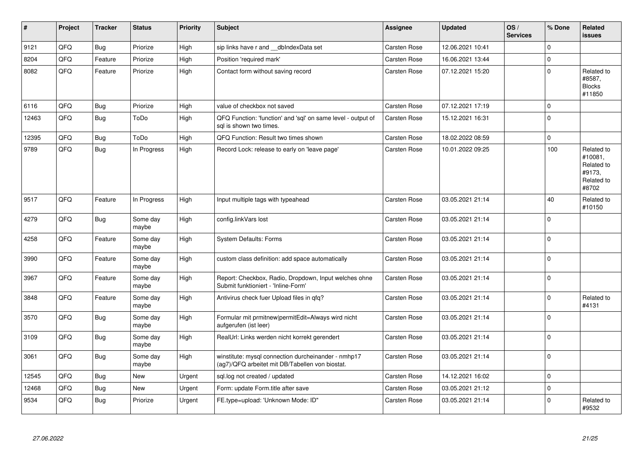| #     | Project | <b>Tracker</b> | <b>Status</b>     | <b>Priority</b> | <b>Subject</b>                                                                                         | <b>Assignee</b>     | <b>Updated</b>   | OS/<br><b>Services</b> | % Done      | Related<br><b>issues</b>                                             |
|-------|---------|----------------|-------------------|-----------------|--------------------------------------------------------------------------------------------------------|---------------------|------------------|------------------------|-------------|----------------------------------------------------------------------|
| 9121  | QFQ     | Bug            | Priorize          | High            | sip links have r and __dbIndexData set                                                                 | Carsten Rose        | 12.06.2021 10:41 |                        | $\Omega$    |                                                                      |
| 8204  | QFQ     | Feature        | Priorize          | High            | Position 'required mark'                                                                               | Carsten Rose        | 16.06.2021 13:44 |                        | $\pmb{0}$   |                                                                      |
| 8082  | QFQ     | Feature        | Priorize          | High            | Contact form without saving record                                                                     | Carsten Rose        | 07.12.2021 15:20 |                        | $\mathbf 0$ | Related to<br>#8587,<br><b>Blocks</b><br>#11850                      |
| 6116  | QFQ     | Bug            | Priorize          | High            | value of checkbox not saved                                                                            | Carsten Rose        | 07.12.2021 17:19 |                        | $\mathbf 0$ |                                                                      |
| 12463 | QFQ     | Bug            | ToDo              | High            | QFQ Function: 'function' and 'sql' on same level - output of<br>sql is shown two times.                | Carsten Rose        | 15.12.2021 16:31 |                        | $\mathbf 0$ |                                                                      |
| 12395 | QFQ     | <b>Bug</b>     | ToDo              | High            | QFQ Function: Result two times shown                                                                   | Carsten Rose        | 18.02.2022 08:59 |                        | $\pmb{0}$   |                                                                      |
| 9789  | QFG     | <b>Bug</b>     | In Progress       | High            | Record Lock: release to early on 'leave page'                                                          | Carsten Rose        | 10.01.2022 09:25 |                        | 100         | Related to<br>#10081,<br>Related to<br>#9173,<br>Related to<br>#8702 |
| 9517  | QFQ     | Feature        | In Progress       | High            | Input multiple tags with typeahead                                                                     | Carsten Rose        | 03.05.2021 21:14 |                        | 40          | Related to<br>#10150                                                 |
| 4279  | QFQ     | <b>Bug</b>     | Some day<br>maybe | High            | config.linkVars lost                                                                                   | <b>Carsten Rose</b> | 03.05.2021 21:14 |                        | $\mathbf 0$ |                                                                      |
| 4258  | QFQ     | Feature        | Some day<br>maybe | High            | System Defaults: Forms                                                                                 | Carsten Rose        | 03.05.2021 21:14 |                        | $\mathbf 0$ |                                                                      |
| 3990  | QFQ     | Feature        | Some day<br>maybe | High            | custom class definition: add space automatically                                                       | Carsten Rose        | 03.05.2021 21:14 |                        | $\Omega$    |                                                                      |
| 3967  | QFQ     | Feature        | Some day<br>maybe | High            | Report: Checkbox, Radio, Dropdown, Input welches ohne<br>Submit funktioniert - 'Inline-Form'           | Carsten Rose        | 03.05.2021 21:14 |                        | $\mathbf 0$ |                                                                      |
| 3848  | QFQ     | Feature        | Some day<br>maybe | High            | Antivirus check fuer Upload files in qfq?                                                              | Carsten Rose        | 03.05.2021 21:14 |                        | $\mathbf 0$ | Related to<br>#4131                                                  |
| 3570  | QFQ     | Bug            | Some day<br>maybe | High            | Formular mit prmitnew permitEdit=Always wird nicht<br>aufgerufen (ist leer)                            | Carsten Rose        | 03.05.2021 21:14 |                        | $\mathbf 0$ |                                                                      |
| 3109  | QFQ     | Bug            | Some day<br>maybe | High            | RealUrl: Links werden nicht korrekt gerendert                                                          | Carsten Rose        | 03.05.2021 21:14 |                        | $\Omega$    |                                                                      |
| 3061  | QFQ     | Bug            | Some day<br>maybe | High            | winstitute: mysql connection durcheinander - nmhp17<br>(ag7)/QFQ arbeitet mit DB/Tabellen von biostat. | Carsten Rose        | 03.05.2021 21:14 |                        | $\mathbf 0$ |                                                                      |
| 12545 | QFQ     | Bug            | New               | Urgent          | sql.log not created / updated                                                                          | Carsten Rose        | 14.12.2021 16:02 |                        | $\mathbf 0$ |                                                                      |
| 12468 | QFQ     | <b>Bug</b>     | <b>New</b>        | Urgent          | Form: update Form.title after save                                                                     | Carsten Rose        | 03.05.2021 21:12 |                        | $\mathbf 0$ |                                                                      |
| 9534  | QFQ     | <b>Bug</b>     | Priorize          | Urgent          | FE.type=upload: 'Unknown Mode: ID"                                                                     | Carsten Rose        | 03.05.2021 21:14 |                        | $\mathbf 0$ | Related to<br>#9532                                                  |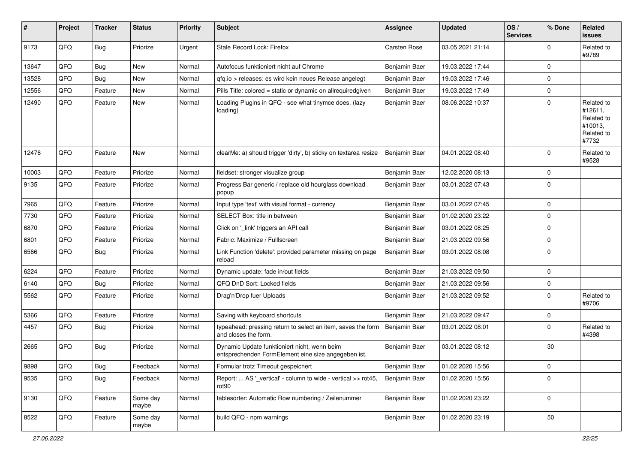| #     | Project | <b>Tracker</b> | <b>Status</b>     | <b>Priority</b> | <b>Subject</b>                                                                                      | <b>Assignee</b>     | <b>Updated</b>   | OS/<br><b>Services</b> | % Done      | Related<br>issues                                                     |
|-------|---------|----------------|-------------------|-----------------|-----------------------------------------------------------------------------------------------------|---------------------|------------------|------------------------|-------------|-----------------------------------------------------------------------|
| 9173  | QFQ     | Bug            | Priorize          | Urgent          | Stale Record Lock: Firefox                                                                          | <b>Carsten Rose</b> | 03.05.2021 21:14 |                        | $\mathbf 0$ | Related to<br>#9789                                                   |
| 13647 | QFQ     | Bug            | New               | Normal          | Autofocus funktioniert nicht auf Chrome                                                             | Benjamin Baer       | 19.03.2022 17:44 |                        | $\mathbf 0$ |                                                                       |
| 13528 | QFQ     | Bug            | New               | Normal          | qfq.io > releases: es wird kein neues Release angelegt                                              | Benjamin Baer       | 19.03.2022 17:46 |                        | $\pmb{0}$   |                                                                       |
| 12556 | QFQ     | Feature        | New               | Normal          | Pills Title: colored = static or dynamic on allrequiredgiven                                        | Benjamin Baer       | 19.03.2022 17:49 |                        | 0           |                                                                       |
| 12490 | QFQ     | Feature        | New               | Normal          | Loading Plugins in QFQ - see what tinymce does. (lazy<br>loading)                                   | Benjamin Baer       | 08.06.2022 10:37 |                        | $\Omega$    | Related to<br>#12611,<br>Related to<br>#10013,<br>Related to<br>#7732 |
| 12476 | QFQ     | Feature        | New               | Normal          | clearMe: a) should trigger 'dirty', b) sticky on textarea resize                                    | Benjamin Baer       | 04.01.2022 08:40 |                        | $\Omega$    | Related to<br>#9528                                                   |
| 10003 | QFQ     | Feature        | Priorize          | Normal          | fieldset: stronger visualize group                                                                  | Benjamin Baer       | 12.02.2020 08:13 |                        | $\mathbf 0$ |                                                                       |
| 9135  | QFQ     | Feature        | Priorize          | Normal          | Progress Bar generic / replace old hourglass download<br>popup                                      | Benjamin Baer       | 03.01.2022 07:43 |                        | 0           |                                                                       |
| 7965  | QFQ     | Feature        | Priorize          | Normal          | Input type 'text' with visual format - currency                                                     | Benjamin Baer       | 03.01.2022 07:45 |                        | $\mathbf 0$ |                                                                       |
| 7730  | QFQ     | Feature        | Priorize          | Normal          | SELECT Box: title in between                                                                        | Benjamin Baer       | 01.02.2020 23:22 |                        | 0           |                                                                       |
| 6870  | QFQ     | Feature        | Priorize          | Normal          | Click on '_link' triggers an API call                                                               | Benjamin Baer       | 03.01.2022 08:25 |                        | 0           |                                                                       |
| 6801  | QFQ     | Feature        | Priorize          | Normal          | Fabric: Maximize / FullIscreen                                                                      | Benjamin Baer       | 21.03.2022 09:56 |                        | $\mathbf 0$ |                                                                       |
| 6566  | QFQ     | Bug            | Priorize          | Normal          | Link Function 'delete': provided parameter missing on page<br>reload                                | Benjamin Baer       | 03.01.2022 08:08 |                        | $\mathbf 0$ |                                                                       |
| 6224  | QFQ     | Feature        | Priorize          | Normal          | Dynamic update: fade in/out fields                                                                  | Benjamin Baer       | 21.03.2022 09:50 |                        | 0           |                                                                       |
| 6140  | QFQ     | Bug            | Priorize          | Normal          | QFQ DnD Sort: Locked fields                                                                         | Benjamin Baer       | 21.03.2022 09:56 |                        | $\mathbf 0$ |                                                                       |
| 5562  | QFQ     | Feature        | Priorize          | Normal          | Drag'n'Drop fuer Uploads                                                                            | Benjamin Baer       | 21.03.2022 09:52 |                        | $\mathbf 0$ | Related to<br>#9706                                                   |
| 5366  | QFQ     | Feature        | Priorize          | Normal          | Saving with keyboard shortcuts                                                                      | Benjamin Baer       | 21.03.2022 09:47 |                        | 0           |                                                                       |
| 4457  | QFQ     | <b>Bug</b>     | Priorize          | Normal          | typeahead: pressing return to select an item, saves the form<br>and closes the form.                | Benjamin Baer       | 03.01.2022 08:01 |                        | $\Omega$    | Related to<br>#4398                                                   |
| 2665  | QFQ     | Bug            | Priorize          | Normal          | Dynamic Update funktioniert nicht, wenn beim<br>entsprechenden FormElement eine size angegeben ist. | Benjamin Baer       | 03.01.2022 08:12 |                        | 30          |                                                                       |
| 9898  | QFQ     | <b>Bug</b>     | Feedback          | Normal          | Formular trotz Timeout gespeichert                                                                  | Benjamin Baer       | 01.02.2020 15:56 |                        | 0           |                                                                       |
| 9535  | QFQ     | Bug            | Feedback          | Normal          | Report:  AS '_vertical' - column to wide - vertical >> rot45,<br>rot90                              | Benjamin Baer       | 01.02.2020 15:56 |                        | 0           |                                                                       |
| 9130  | QFQ     | Feature        | Some day<br>maybe | Normal          | tablesorter: Automatic Row numbering / Zeilenummer                                                  | Benjamin Baer       | 01.02.2020 23:22 |                        | $\pmb{0}$   |                                                                       |
| 8522  | QFQ     | Feature        | Some day<br>maybe | Normal          | build QFQ - npm warnings                                                                            | Benjamin Baer       | 01.02.2020 23:19 |                        | 50          |                                                                       |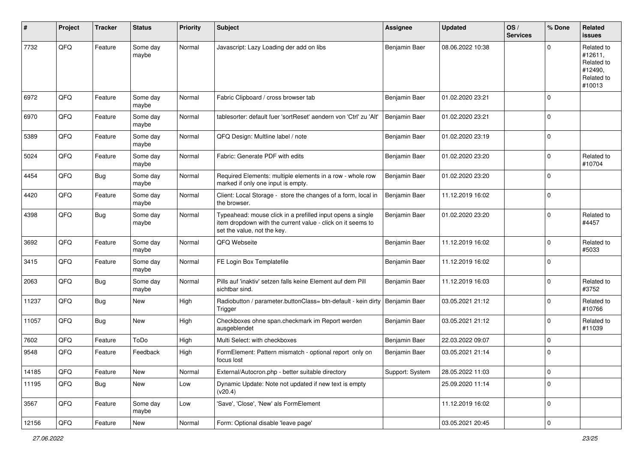| ∦     | Project | <b>Tracker</b> | <b>Status</b>     | <b>Priority</b> | <b>Subject</b>                                                                                                                                           | <b>Assignee</b> | <b>Updated</b>   | OS/<br><b>Services</b> | % Done      | Related<br><b>issues</b>                                               |
|-------|---------|----------------|-------------------|-----------------|----------------------------------------------------------------------------------------------------------------------------------------------------------|-----------------|------------------|------------------------|-------------|------------------------------------------------------------------------|
| 7732  | QFQ     | Feature        | Some day<br>maybe | Normal          | Javascript: Lazy Loading der add on libs                                                                                                                 | Benjamin Baer   | 08.06.2022 10:38 |                        | $\Omega$    | Related to<br>#12611,<br>Related to<br>#12490,<br>Related to<br>#10013 |
| 6972  | QFQ     | Feature        | Some day<br>maybe | Normal          | Fabric Clipboard / cross browser tab                                                                                                                     | Benjamin Baer   | 01.02.2020 23:21 |                        | $\mathbf 0$ |                                                                        |
| 6970  | QFQ     | Feature        | Some day<br>maybe | Normal          | tablesorter: default fuer 'sortReset' aendern von 'Ctrl' zu 'Alt'                                                                                        | Benjamin Baer   | 01.02.2020 23:21 |                        | $\mathbf 0$ |                                                                        |
| 5389  | QFQ     | Feature        | Some day<br>maybe | Normal          | QFQ Design: Multline label / note                                                                                                                        | Benjamin Baer   | 01.02.2020 23:19 |                        | $\mathbf 0$ |                                                                        |
| 5024  | QFQ     | Feature        | Some day<br>maybe | Normal          | Fabric: Generate PDF with edits                                                                                                                          | Benjamin Baer   | 01.02.2020 23:20 |                        | $\mathbf 0$ | Related to<br>#10704                                                   |
| 4454  | QFQ     | <b>Bug</b>     | Some day<br>maybe | Normal          | Required Elements: multiple elements in a row - whole row<br>marked if only one input is empty.                                                          | Benjamin Baer   | 01.02.2020 23:20 |                        | $\mathbf 0$ |                                                                        |
| 4420  | QFQ     | Feature        | Some day<br>maybe | Normal          | Client: Local Storage - store the changes of a form, local in<br>the browser.                                                                            | Benjamin Baer   | 11.12.2019 16:02 |                        | $\mathbf 0$ |                                                                        |
| 4398  | QFQ     | <b>Bug</b>     | Some day<br>maybe | Normal          | Typeahead: mouse click in a prefilled input opens a single<br>item dropdown with the current value - click on it seems to<br>set the value, not the key. | Benjamin Baer   | 01.02.2020 23:20 |                        | $\mathbf 0$ | Related to<br>#4457                                                    |
| 3692  | QFQ     | Feature        | Some day<br>maybe | Normal          | QFQ Webseite                                                                                                                                             | Benjamin Baer   | 11.12.2019 16:02 |                        | $\mathbf 0$ | Related to<br>#5033                                                    |
| 3415  | QFQ     | Feature        | Some day<br>maybe | Normal          | FE Login Box Templatefile                                                                                                                                | Benjamin Baer   | 11.12.2019 16:02 |                        | $\mathbf 0$ |                                                                        |
| 2063  | QFQ     | Bug            | Some day<br>maybe | Normal          | Pills auf 'inaktiv' setzen falls keine Element auf dem Pill<br>sichtbar sind.                                                                            | Benjamin Baer   | 11.12.2019 16:03 |                        | $\mathbf 0$ | Related to<br>#3752                                                    |
| 11237 | QFQ     | Bug            | New               | High            | Radiobutton / parameter.buttonClass= btn-default - kein dirty   Benjamin Baer<br>Trigger                                                                 |                 | 03.05.2021 21:12 |                        | $\mathbf 0$ | Related to<br>#10766                                                   |
| 11057 | QFQ     | Bug            | New               | High            | Checkboxes ohne span.checkmark im Report werden<br>ausgeblendet                                                                                          | Benjamin Baer   | 03.05.2021 21:12 |                        | $\mathbf 0$ | Related to<br>#11039                                                   |
| 7602  | QFQ     | Feature        | ToDo              | High            | Multi Select: with checkboxes                                                                                                                            | Benjamin Baer   | 22.03.2022 09:07 |                        | $\mathbf 0$ |                                                                        |
| 9548  | QFQ     | Feature        | Feedback          | High            | FormElement: Pattern mismatch - optional report only on<br>focus lost                                                                                    | Benjamin Baer   | 03.05.2021 21:14 |                        | $\mathbf 0$ |                                                                        |
| 14185 | QFQ     | Feature        | New               | Normal          | External/Autocron.php - better suitable directory                                                                                                        | Support: System | 28.05.2022 11:03 |                        | $\pmb{0}$   |                                                                        |
| 11195 | QFQ     | Bug            | New               | Low             | Dynamic Update: Note not updated if new text is empty<br>(v20.4)                                                                                         |                 | 25.09.2020 11:14 |                        | $\mathbf 0$ |                                                                        |
| 3567  | QFQ     | Feature        | Some day<br>maybe | Low             | 'Save', 'Close', 'New' als FormElement                                                                                                                   |                 | 11.12.2019 16:02 |                        | $\mathbf 0$ |                                                                        |
| 12156 | QFQ     | Feature        | New               | Normal          | Form: Optional disable 'leave page'                                                                                                                      |                 | 03.05.2021 20:45 |                        | $\pmb{0}$   |                                                                        |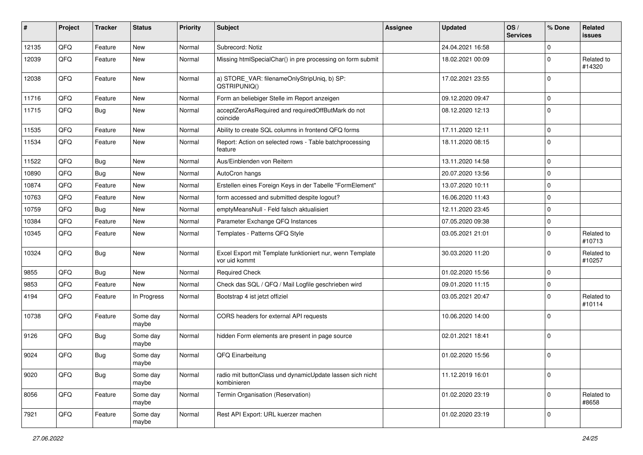| #     | Project | <b>Tracker</b> | <b>Status</b>     | <b>Priority</b> | <b>Subject</b>                                                             | <b>Assignee</b> | <b>Updated</b>   | OS/<br><b>Services</b> | % Done      | Related<br><b>issues</b> |
|-------|---------|----------------|-------------------|-----------------|----------------------------------------------------------------------------|-----------------|------------------|------------------------|-------------|--------------------------|
| 12135 | QFQ     | Feature        | <b>New</b>        | Normal          | Subrecord: Notiz                                                           |                 | 24.04.2021 16:58 |                        | $\mathbf 0$ |                          |
| 12039 | QFQ     | Feature        | New               | Normal          | Missing htmlSpecialChar() in pre processing on form submit                 |                 | 18.02.2021 00:09 |                        | $\mathbf 0$ | Related to<br>#14320     |
| 12038 | QFQ     | Feature        | New               | Normal          | a) STORE_VAR: filenameOnlyStripUniq, b) SP:<br>QSTRIPUNIQ()                |                 | 17.02.2021 23:55 |                        | $\mathbf 0$ |                          |
| 11716 | QFQ     | Feature        | New               | Normal          | Form an beliebiger Stelle im Report anzeigen                               |                 | 09.12.2020 09:47 |                        | $\mathbf 0$ |                          |
| 11715 | QFQ     | <b>Bug</b>     | New               | Normal          | acceptZeroAsRequired and requiredOffButMark do not<br>coincide             |                 | 08.12.2020 12:13 |                        | $\mathbf 0$ |                          |
| 11535 | QFQ     | Feature        | <b>New</b>        | Normal          | Ability to create SQL columns in frontend QFQ forms                        |                 | 17.11.2020 12:11 |                        | $\mathbf 0$ |                          |
| 11534 | QFQ     | Feature        | New               | Normal          | Report: Action on selected rows - Table batchprocessing<br>feature         |                 | 18.11.2020 08:15 |                        | $\mathbf 0$ |                          |
| 11522 | QFQ     | <b>Bug</b>     | <b>New</b>        | Normal          | Aus/Einblenden von Reitern                                                 |                 | 13.11.2020 14:58 |                        | $\mathbf 0$ |                          |
| 10890 | QFQ     | <b>Bug</b>     | New               | Normal          | AutoCron hangs                                                             |                 | 20.07.2020 13:56 |                        | $\mathbf 0$ |                          |
| 10874 | QFQ     | Feature        | New               | Normal          | Erstellen eines Foreign Keys in der Tabelle "FormElement"                  |                 | 13.07.2020 10:11 |                        | $\mathbf 0$ |                          |
| 10763 | QFQ     | Feature        | New               | Normal          | form accessed and submitted despite logout?                                |                 | 16.06.2020 11:43 |                        | $\mathbf 0$ |                          |
| 10759 | QFQ     | Bug            | New               | Normal          | emptyMeansNull - Feld falsch aktualisiert                                  |                 | 12.11.2020 23:45 |                        | $\mathbf 0$ |                          |
| 10384 | QFQ     | Feature        | New               | Normal          | Parameter Exchange QFQ Instances                                           |                 | 07.05.2020 09:38 |                        | $\mathbf 0$ |                          |
| 10345 | QFQ     | Feature        | New               | Normal          | Templates - Patterns QFQ Style                                             |                 | 03.05.2021 21:01 |                        | $\mathbf 0$ | Related to<br>#10713     |
| 10324 | QFQ     | Bug            | New               | Normal          | Excel Export mit Template funktioniert nur, wenn Template<br>vor uid kommt |                 | 30.03.2020 11:20 |                        | $\mathbf 0$ | Related to<br>#10257     |
| 9855  | QFQ     | Bug            | <b>New</b>        | Normal          | <b>Required Check</b>                                                      |                 | 01.02.2020 15:56 |                        | $\mathbf 0$ |                          |
| 9853  | QFQ     | Feature        | New               | Normal          | Check das SQL / QFQ / Mail Logfile geschrieben wird                        |                 | 09.01.2020 11:15 |                        | $\mathbf 0$ |                          |
| 4194  | QFQ     | Feature        | In Progress       | Normal          | Bootstrap 4 ist jetzt offiziel                                             |                 | 03.05.2021 20:47 |                        | $\mathbf 0$ | Related to<br>#10114     |
| 10738 | QFQ     | Feature        | Some day<br>maybe | Normal          | CORS headers for external API requests                                     |                 | 10.06.2020 14:00 |                        | $\mathbf 0$ |                          |
| 9126  | QFQ     | <b>Bug</b>     | Some day<br>maybe | Normal          | hidden Form elements are present in page source                            |                 | 02.01.2021 18:41 |                        | $\mathbf 0$ |                          |
| 9024  | QFQ     | <b>Bug</b>     | Some day<br>maybe | Normal          | QFQ Einarbeitung                                                           |                 | 01.02.2020 15:56 |                        | $\mathbf 0$ |                          |
| 9020  | QFQ     | <b>Bug</b>     | Some day<br>maybe | Normal          | radio mit buttonClass und dynamicUpdate lassen sich nicht<br>kombinieren   |                 | 11.12.2019 16:01 |                        | $\mathbf 0$ |                          |
| 8056  | QFQ     | Feature        | Some day<br>maybe | Normal          | Termin Organisation (Reservation)                                          |                 | 01.02.2020 23:19 |                        | $\mathbf 0$ | Related to<br>#8658      |
| 7921  | QFQ     | Feature        | Some day<br>maybe | Normal          | Rest API Export: URL kuerzer machen                                        |                 | 01.02.2020 23:19 |                        | $\mathbf 0$ |                          |